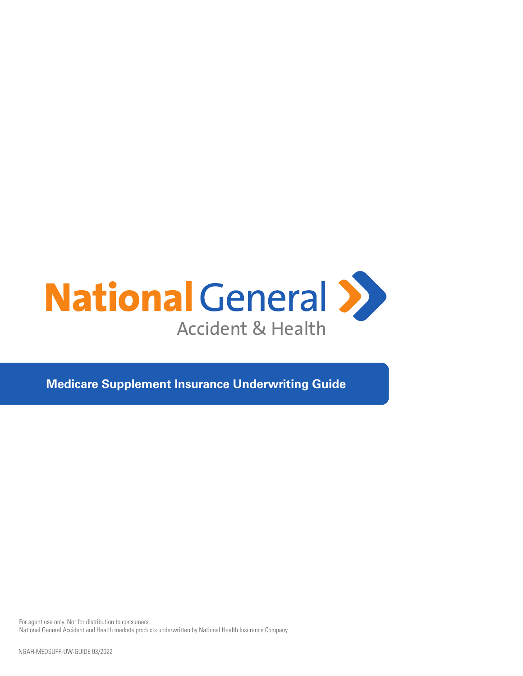

**Medicare Supplement Insurance Underwriting Guide**

For agent use only. Not for distribution to consumers. National General Accident and Health markets products underwritten by National Health Insurance Company.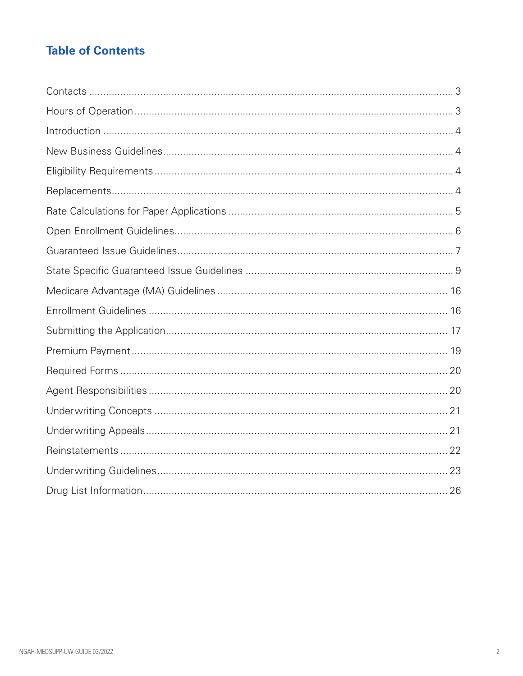# **Table of Contents**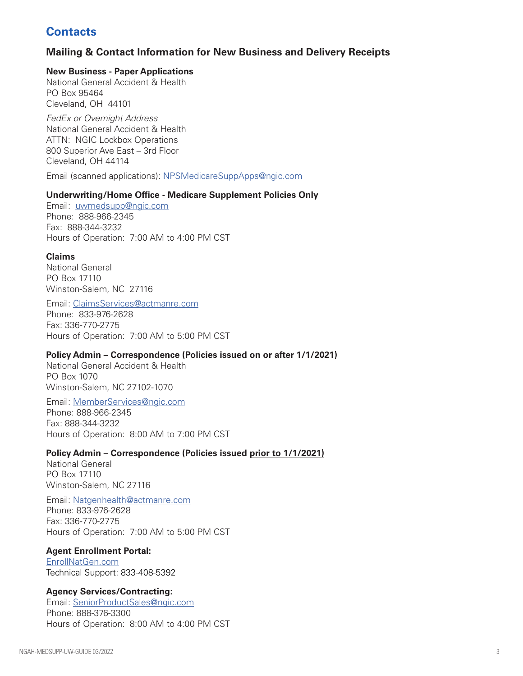# **Contacts**

## **Mailing & Contact Information for New Business and Delivery Receipts**

#### **New Business - Paper Applications**

National General Accident & Health PO Box 95464 Cleveland, OH 44101

*FedEx or Overnight Address* National General Accident & Health ATTN: NGIC Lockbox Operations 800 Superior Ave East – 3rd Floor Cleveland, OH 44114

Email (scanned applications): NPSMedicareSuppApps@ngic.com

#### **Underwriting/Home Office - Medicare Supplement Policies Only**

Email: uwmedsupp@ngic.com Phone: 888-966-2345 Fax: 888-344-3232 Hours of Operation: 7:00 AM to 4:00 PM CST

#### **Claims**

National General PO Box 17110 Winston-Salem, NC 27116

#### Email: ClaimsServices@actmanre.com

Phone: 833-976-2628 Fax: 336-770-2775 Hours of Operation: 7:00 AM to 5:00 PM CST

#### **Policy Admin – Correspondence (Policies issued on or after 1/1/2021)**

National General Accident & Health PO Box 1070 Winston-Salem, NC 27102-1070

Email: MemberServices@ngic.com Phone: 888-966-2345 Fax: 888-344-3232 Hours of Operation: 8:00 AM to 7:00 PM CST

#### **Policy Admin – Correspondence (Policies issued prior to 1/1/2021)**

National General PO Box 17110 Winston-Salem, NC 27116

#### Email: Natgenhealth@actmanre.com

Phone: 833-976-2628 Fax: 336-770-2775 Hours of Operation: 7:00 AM to 5:00 PM CST

#### **Agent Enrollment Portal:**

EnrollNatGen.com Technical Support: 833-408-5392

#### **Agency Services/Contracting:**

Email: SeniorProductSales@ngic.com Phone: 888-376-3300 Hours of Operation: 8:00 AM to 4:00 PM CST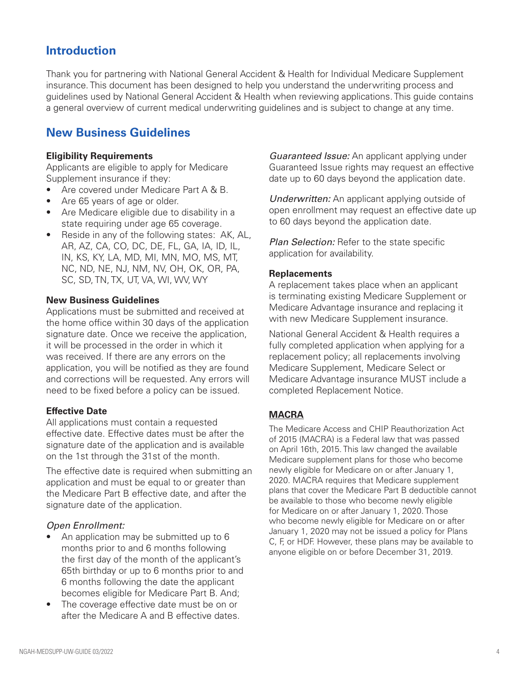# **Introduction**

Thank you for partnering with National General Accident & Health for Individual Medicare Supplement insurance. This document has been designed to help you understand the underwriting process and guidelines used by National General Accident & Health when reviewing applications. This guide contains a general overview of current medical underwriting guidelines and is subject to change at any time.

# **New Business Guidelines**

#### **Eligibility Requirements**

Applicants are eligible to apply for Medicare Supplement insurance if they:

- Are covered under Medicare Part A & B.
- Are 65 years of age or older.
- Are Medicare eligible due to disability in a state requiring under age 65 coverage.
- Reside in any of the following states: AK, AL, AR, AZ, CA, CO, DC, DE, FL, GA, IA, ID, IL, IN, KS, KY, LA, MD, MI, MN, MO, MS, MT, NC, ND, NE, NJ, NM, NV, OH, OK, OR, PA, SC, SD, TN, TX, UT, VA, WI, WV, WY

#### **New Business Guidelines**

Applications must be submitted and received at the home office within 30 days of the application signature date. Once we receive the application, it will be processed in the order in which it was received. If there are any errors on the application, you will be notified as they are found and corrections will be requested. Any errors will need to be fixed before a policy can be issued.

#### **Effective Date**

All applications must contain a requested effective date. Effective dates must be after the signature date of the application and is available on the 1st through the 31st of the month.

The effective date is required when submitting an application and must be equal to or greater than the Medicare Part B effective date, and after the signature date of the application.

#### *Open Enrollment:*

- An application may be submitted up to 6 months prior to and 6 months following the first day of the month of the applicant's 65th birthday or up to 6 months prior to and 6 months following the date the applicant becomes eligible for Medicare Part B. And;
- The coverage effective date must be on or after the Medicare A and B effective dates.

*Guaranteed Issue:* An applicant applying under Guaranteed Issue rights may request an effective date up to 60 days beyond the application date.

*Underwritten:* An applicant applying outside of open enrollment may request an effective date up to 60 days beyond the application date.

*Plan Selection:* Refer to the state specific application for availability.

#### **Replacements**

A replacement takes place when an applicant is terminating existing Medicare Supplement or Medicare Advantage insurance and replacing it with new Medicare Supplement insurance.

National General Accident & Health requires a fully completed application when applying for a replacement policy; all replacements involving Medicare Supplement, Medicare Select or Medicare Advantage insurance MUST include a completed Replacement Notice.

# **MACRA**

The Medicare Access and CHIP Reauthorization Act of 2015 (MACRA) is a Federal law that was passed on April 16th, 2015. This law changed the available Medicare supplement plans for those who become newly eligible for Medicare on or after January 1, 2020. MACRA requires that Medicare supplement plans that cover the Medicare Part B deductible cannot be available to those who become newly eligible for Medicare on or after January 1, 2020. Those who become newly eligible for Medicare on or after January 1, 2020 may not be issued a policy for Plans C, F, or HDF. However, these plans may be available to anyone eligible on or before December 31, 2019.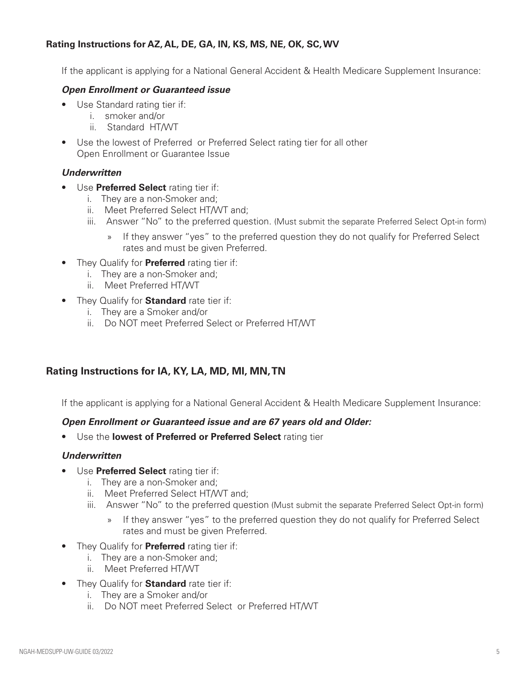## **Rating Instructions for AZ, AL, DE, GA, IN, KS, MS, NE, OK, SC, WV**

If the applicant is applying for a National General Accident & Health Medicare Supplement Insurance:

#### *Open Enrollment or Guaranteed issue*

- Use Standard rating tier if:
	- i. smoker and/or
	- ii. Standard HT/WT
- Use the lowest of Preferred or Preferred Select rating tier for all other Open Enrollment or Guarantee Issue

#### *Underwritten*

- Use **Preferred Select** rating tier if:
	- i. They are a non-Smoker and;
	- ii. Meet Preferred Select HT/WT and;
	- iii. Answer "No" to the preferred question. (Must submit the separate Preferred Select Opt-in form)
		- » If they answer "yes" to the preferred question they do not qualify for Preferred Select rates and must be given Preferred.
- They Qualify for **Preferred** rating tier if:
	- i. They are a non-Smoker and;
	- ii. Meet Preferred HT/WT
- They Qualify for **Standard** rate tier if:
	- i. They are a Smoker and/or
	- ii. Do NOT meet Preferred Select or Preferred HT/WT

## **Rating Instructions for IA, KY, LA, MD, MI, MN, TN**

If the applicant is applying for a National General Accident & Health Medicare Supplement Insurance:

#### *Open Enrollment or Guaranteed issue and are 67 years old and Older:*

• Use the **lowest of Preferred or Preferred Select** rating tier

#### *Underwritten*

- Use **Preferred Select** rating tier if:
	- i. They are a non-Smoker and;
	- ii. Meet Preferred Select HT/WT and;
	- iii. Answer "No" to the preferred question (Must submit the separate Preferred Select Opt-in form)
		- » If they answer "yes" to the preferred question they do not qualify for Preferred Select rates and must be given Preferred.
- They Qualify for **Preferred** rating tier if:
	- i. They are a non-Smoker and;
	- ii. Meet Preferred HT/WT
- They Qualify for **Standard** rate tier if:
	- i. They are a Smoker and/or
	- ii. Do NOT meet Preferred Select or Preferred HT/WT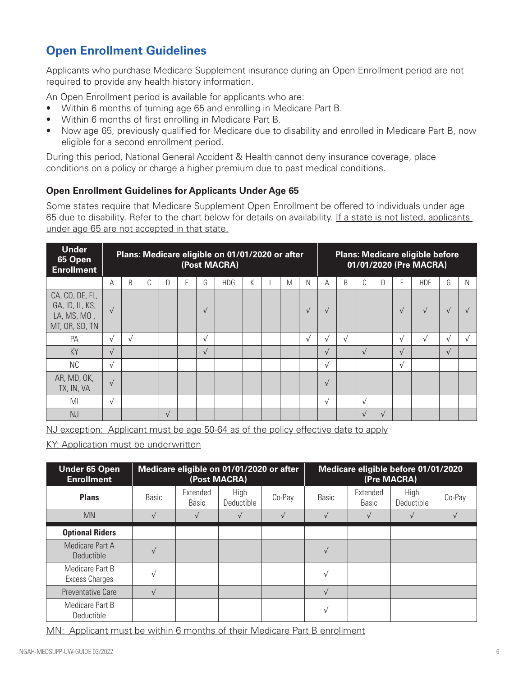# **Open Enrollment Guidelines**

Applicants who purchase Medicare Supplement insurance during an Open Enrollment period are not required to provide any health history information.

An Open Enrollment period is available for applicants who are:

- Within 6 months of turning age 65 and enrolling in Medicare Part B.
- Within 6 months of first enrolling in Medicare Part B.
- Now age 65, previously qualified for Medicare due to disability and enrolled in Medicare Part B, now eligible for a second enrollment period.

During this period, National General Accident & Health cannot deny insurance coverage, place conditions on a policy or charge a higher premium due to past medical conditions.

## **Open Enrollment Guidelines for Applicants Under Age 65**

Some states require that Medicare Supplement Open Enrollment be offered to individuals under age 65 due to disability. Refer to the chart below for details on availability. If a state is not listed, applicants under age 65 are not accepted in that state.

| Under<br>65 Open<br><b>Enrollment</b>                               | Plans: Medicare eligible on 01/01/2020 or after<br>(Post MACRA) |            |   |            |   |            |            |   |   |           | <b>Plans: Medicare eligible before</b><br>01/01/2020 (Pre MACRA) |           |            |              |            |            |            |            |
|---------------------------------------------------------------------|-----------------------------------------------------------------|------------|---|------------|---|------------|------------|---|---|-----------|------------------------------------------------------------------|-----------|------------|--------------|------------|------------|------------|------------|
|                                                                     | А                                                               | B          | C | D          | F | G          | <b>HDG</b> | K | M | N         | А                                                                | B         | C          | $\mathsf{D}$ | E          | <b>HDF</b> | G          | N          |
| CA, CO, DE, FL,<br>GA, ID, IL, KS,<br>LA, MS, MO,<br>MT, OR, SD, TN | $\sqrt{ }$                                                      |            |   |            |   | $\sqrt{ }$ |            |   |   | $\sqrt{}$ | $\sqrt{ }$                                                       |           |            |              | $\sqrt{ }$ | $\sqrt{ }$ | $\sqrt{ }$ |            |
| PA                                                                  | $\sqrt{ }$                                                      | $\sqrt{ }$ |   |            |   | $\sqrt{ }$ |            |   |   | $\sqrt{}$ | $\sqrt{ }$                                                       | $\sqrt{}$ |            |              | $\sqrt{ }$ | $\sqrt{ }$ | $\sqrt{ }$ | $\sqrt{ }$ |
| <b>KY</b>                                                           | $\sqrt{ }$                                                      |            |   |            |   | $\sqrt{ }$ |            |   |   |           | $\sqrt{ }$                                                       |           | $\sqrt{ }$ |              | $\sqrt{ }$ |            | $\sqrt{ }$ |            |
| <b>NC</b>                                                           | $\sqrt{ }$                                                      |            |   |            |   |            |            |   |   |           | $\sqrt{ }$                                                       |           |            |              | $\sqrt{ }$ |            |            |            |
| AR, MD, OK,<br>TX, IN, VA                                           | $\sqrt{ }$                                                      |            |   |            |   |            |            |   |   |           | $\sqrt{ }$                                                       |           |            |              |            |            |            |            |
| MI                                                                  | $\sqrt{ }$                                                      |            |   |            |   |            |            |   |   |           | $\sqrt{ }$                                                       |           | $\sqrt{ }$ |              |            |            |            |            |
| <b>NJ</b>                                                           |                                                                 |            |   | $\sqrt{ }$ |   |            |            |   |   |           |                                                                  |           | $\sqrt{ }$ | $\sqrt{ }$   |            |            |            |            |

NJ exception: Applicant must be age 50-64 as of the policy effective date to apply

KY: Application must be underwritten

| <b>Under 65 Open</b><br><b>Enrollment</b> | Medicare eligible on 01/01/2020 or after<br>(Post MACRA) |                          |                    |        | Medicare eligible before 01/01/2020<br>(Pre MACRA) |                   |                    |        |  |
|-------------------------------------------|----------------------------------------------------------|--------------------------|--------------------|--------|----------------------------------------------------|-------------------|--------------------|--------|--|
| <b>Plans</b>                              | <b>Basic</b>                                             | Extended<br><b>Basic</b> | High<br>Deductible | Co-Pay | <b>Basic</b>                                       | Extended<br>Basic | High<br>Deductible | Co-Pay |  |
| <b>MN</b>                                 | $\sqrt{ }$                                               |                          |                    |        | $\sqrt{ }$                                         |                   |                    |        |  |
| <b>Optional Riders</b>                    |                                                          |                          |                    |        |                                                    |                   |                    |        |  |
| Medicare Part A<br><b>Deductible</b>      | $\sqrt{ }$                                               |                          |                    |        | $\sqrt{ }$                                         |                   |                    |        |  |
| Medicare Part B<br>Excess Charges         | $\sqrt{ }$                                               |                          |                    |        | $\sqrt{ }$                                         |                   |                    |        |  |
| <b>Preventative Care</b>                  | $\sqrt{ }$                                               |                          |                    |        | $\sqrt{ }$                                         |                   |                    |        |  |
| Medicare Part B<br>Deductible             |                                                          |                          |                    |        |                                                    |                   |                    |        |  |

MN: Applicant must be within 6 months of their Medicare Part B enrollment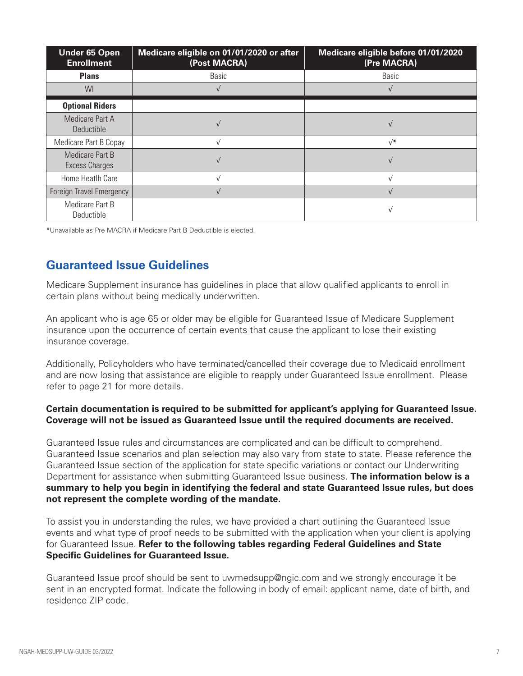| <b>Under 65 Open</b><br><b>Enrollment</b> | Medicare eligible on 01/01/2020 or after<br>(Post MACRA) | Medicare eligible before 01/01/2020<br>(Pre MACRA) |
|-------------------------------------------|----------------------------------------------------------|----------------------------------------------------|
| <b>Plans</b>                              | <b>Basic</b>                                             | <b>Basic</b>                                       |
| WI                                        |                                                          |                                                    |
| <b>Optional Riders</b>                    |                                                          |                                                    |
| Medicare Part A<br><b>Deductible</b>      |                                                          |                                                    |
| Medicare Part B Copay                     |                                                          | $\sqrt{*}$                                         |
| Medicare Part B<br><b>Excess Charges</b>  |                                                          |                                                    |
| Home Heatlh Care                          |                                                          |                                                    |
| Foreign Travel Emergency                  |                                                          |                                                    |
| Medicare Part B<br>Deductible             |                                                          |                                                    |

\*Unavailable as Pre MACRA if Medicare Part B Deductible is elected.

# **Guaranteed Issue Guidelines**

Medicare Supplement insurance has guidelines in place that allow qualified applicants to enroll in certain plans without being medically underwritten.

An applicant who is age 65 or older may be eligible for Guaranteed Issue of Medicare Supplement insurance upon the occurrence of certain events that cause the applicant to lose their existing insurance coverage.

Additionally, Policyholders who have terminated/cancelled their coverage due to Medicaid enrollment and are now losing that assistance are eligible to reapply under Guaranteed Issue enrollment. Please refer to page 21 for more details.

#### **Certain documentation is required to be submitted for applicant's applying for Guaranteed Issue. Coverage will not be issued as Guaranteed Issue until the required documents are received.**

Guaranteed Issue rules and circumstances are complicated and can be difficult to comprehend. Guaranteed Issue scenarios and plan selection may also vary from state to state. Please reference the Guaranteed Issue section of the application for state specific variations or contact our Underwriting Department for assistance when submitting Guaranteed Issue business. **The information below is a summary to help you begin in identifying the federal and state Guaranteed Issue rules, but does not represent the complete wording of the mandate.**

To assist you in understanding the rules, we have provided a chart outlining the Guaranteed Issue events and what type of proof needs to be submitted with the application when your client is applying for Guaranteed Issue. **Refer to the following tables regarding Federal Guidelines and State Specific Guidelines for Guaranteed Issue.**

Guaranteed Issue proof should be sent to uwmedsupp@ngic.com and we strongly encourage it be sent in an encrypted format. Indicate the following in body of email: applicant name, date of birth, and residence ZIP code.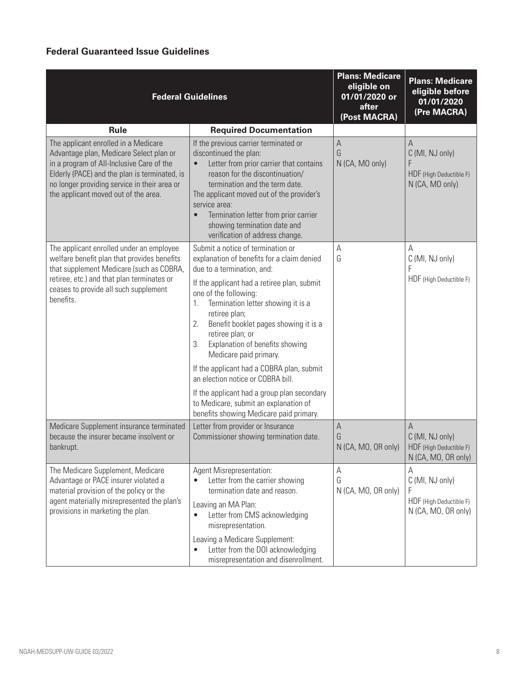# **Federal Guaranteed Issue Guidelines**

|                                                                                                                                                                                                                                                                       | <b>Federal Guidelines</b>                                                                                                                                                                                                                                                                                                                                                                                                                                                                                                                                                                                     | <b>Plans: Medicare</b><br>eligible on<br>01/01/2020 or<br>after<br>(Post MACRA) | <b>Plans: Medicare</b><br>eligible before<br>01/01/2020<br>(Pre MACRA)      |
|-----------------------------------------------------------------------------------------------------------------------------------------------------------------------------------------------------------------------------------------------------------------------|---------------------------------------------------------------------------------------------------------------------------------------------------------------------------------------------------------------------------------------------------------------------------------------------------------------------------------------------------------------------------------------------------------------------------------------------------------------------------------------------------------------------------------------------------------------------------------------------------------------|---------------------------------------------------------------------------------|-----------------------------------------------------------------------------|
| <b>Rule</b>                                                                                                                                                                                                                                                           | <b>Required Documentation</b>                                                                                                                                                                                                                                                                                                                                                                                                                                                                                                                                                                                 |                                                                                 |                                                                             |
| The applicant enrolled in a Medicare<br>Advantage plan, Medicare Select plan or<br>in a program of All-Inclusive Care of the<br>Elderly (PACE) and the plan is terminated, is<br>no longer providing service in their area or<br>the applicant moved out of the area. | If the previous carrier terminated or<br>discontinued the plan:<br>Letter from prior carrier that contains<br>$\bullet$<br>reason for the discontinuation/<br>termination and the term date.<br>The applicant moved out of the provider's<br>service area:<br>Termination letter from prior carrier<br>$\bullet$<br>showing termination date and<br>verification of address change.                                                                                                                                                                                                                           | A<br>G<br>N (CA, MO only)                                                       | A<br>C (MI, NJ only)<br>F<br>HDF (High Deductible F)<br>N (CA, MO only)     |
| The applicant enrolled under an employee<br>welfare benefit plan that provides benefits<br>that supplement Medicare (such as COBRA,<br>retiree, etc.) and that plan terminates or<br>ceases to provide all such supplement<br>benefits.                               | Submit a notice of termination or<br>explanation of benefits for a claim denied<br>due to a termination, and:<br>If the applicant had a retiree plan, submit<br>one of the following:<br>Termination letter showing it is a<br>1.<br>retiree plan;<br>Benefit booklet pages showing it is a<br>2.<br>retiree plan; or<br>Explanation of benefits showing<br>3.<br>Medicare paid primary.<br>If the applicant had a COBRA plan, submit<br>an election notice or COBRA bill.<br>If the applicant had a group plan secondary<br>to Medicare, submit an explanation of<br>benefits showing Medicare paid primary. | A<br>G                                                                          | A<br>C (MI, NJ only)<br>F<br>HDF (High Deductible F)                        |
| Medicare Supplement insurance terminated<br>because the insurer became insolvent or<br>bankrupt.                                                                                                                                                                      | Letter from provider or Insurance<br>Commissioner showing termination date.                                                                                                                                                                                                                                                                                                                                                                                                                                                                                                                                   | $\mathsf A$<br>G<br>N (CA, MO, OR only)                                         | A<br>C (MI, NJ only)<br>HDF (High Deductible F)<br>N (CA, MO, OR only)      |
| The Medicare Supplement, Medicare<br>Advantage or PACE insurer violated a<br>material provision of the policy or the<br>agent materially misrepresented the plan's<br>provisions in marketing the plan.                                                               | <b>Agent Misrepresentation:</b><br>Letter from the carrier showing<br>termination date and reason.<br>Leaving an MA Plan:<br>Letter from CMS acknowledging<br>$\bullet$<br>misrepresentation.<br>Leaving a Medicare Supplement:<br>Letter from the DOI acknowledging<br>misrepresentation and disenrollment.                                                                                                                                                                                                                                                                                                  | А<br>G<br>N (CA, MO, OR only)                                                   | А<br>C (MI, NJ only)<br>F<br>HDF (High Deductible F)<br>N (CA, MO, OR only) |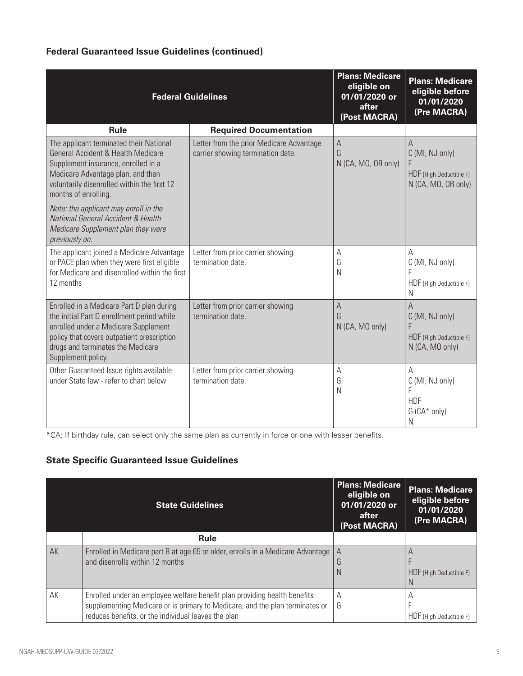# **Federal Guaranteed Issue Guidelines (continued)**

|                                                                                                                                                                                                                                          | <b>Federal Guidelines</b>                                                     | <b>Plans: Medicare</b><br>eligible on<br>01/01/2020 or<br>after<br>(Post MACRA) | <b>Plans: Medicare</b><br>eligible before<br>01/01/2020<br>(Pre MACRA)      |
|------------------------------------------------------------------------------------------------------------------------------------------------------------------------------------------------------------------------------------------|-------------------------------------------------------------------------------|---------------------------------------------------------------------------------|-----------------------------------------------------------------------------|
| <b>Rule</b>                                                                                                                                                                                                                              | <b>Required Documentation</b>                                                 |                                                                                 |                                                                             |
| The applicant terminated their National<br>General Accident & Health Medicare<br>Supplement insurance, enrolled in a<br>Medicare Advantage plan, and then<br>voluntarily disenrolled within the first 12<br>months of enrolling.         | Letter from the prior Medicare Advantage<br>carrier showing termination date. | $\mathsf A$<br>G<br>N (CA, MO, OR only)                                         | A<br>C (MI, NJ only)<br>F<br>HDF (High Deductible F)<br>N (CA, MO, OR only) |
| Note: the applicant may enroll in the<br>National General Accident & Health<br>Medicare Supplement plan they were<br>previously on.                                                                                                      |                                                                               |                                                                                 |                                                                             |
| The applicant joined a Medicare Advantage<br>or PACE plan when they were first eligible<br>for Medicare and disenrolled within the first<br>12 months                                                                                    | Letter from prior carrier showing<br>termination date.                        | A<br>G<br>N                                                                     | А<br>C (MI, NJ only)<br>F<br>HDF (High Deductible F)<br>N                   |
| Enrolled in a Medicare Part D plan during<br>the initial Part D enrollment period while<br>enrolled under a Medicare Supplement<br>policy that covers outpatient prescription<br>drugs and terminates the Medicare<br>Supplement policy. | Letter from prior carrier showing<br>termination date.                        | $\mathsf{A}$<br>G<br>N (CA, MO only)                                            | A<br>C (MI, NJ only)<br>F<br>HDF (High Deductible F)<br>N (CA, MO only)     |
| Other Guaranteed Issue rights available<br>under State law - refer to chart below                                                                                                                                                        | Letter from prior carrier showing<br>termination date.                        | $\mathsf{A}$<br>G<br>N                                                          | A<br>C (MI, NJ only)<br>F<br><b>HDF</b><br>$G(CA^* only)$<br>N              |

\*CA: If birthday rule, can select only the same plan as currently in force or one with lesser benefits.

# **State Specific Guaranteed Issue Guidelines**

|    | <b>State Guidelines</b>                                                                                                                                   | <b>Plans: Medicare</b><br>eligible on<br>01/01/2020 or<br>after<br>(Post MACRA) | <b>Plans: Medicare</b><br>eligible before<br>01/01/2020<br>(Pre MACRA) |
|----|-----------------------------------------------------------------------------------------------------------------------------------------------------------|---------------------------------------------------------------------------------|------------------------------------------------------------------------|
|    | <b>Rule</b>                                                                                                                                               |                                                                                 |                                                                        |
| AK | Enrolled in Medicare part B at age 65 or older, enrolls in a Medicare Advantage<br>and disenrolls within 12 months                                        | A<br>G                                                                          | A                                                                      |
|    |                                                                                                                                                           | N                                                                               | HDF (High Deductible F)<br>N                                           |
| AK | Enrolled under an employee welfare benefit plan providing health benefits<br>supplementing Medicare or is primary to Medicare, and the plan terminates or | А<br>G                                                                          | A                                                                      |
|    | reduces benefits, or the individual leaves the plan                                                                                                       |                                                                                 | HDF (High Deductible F)                                                |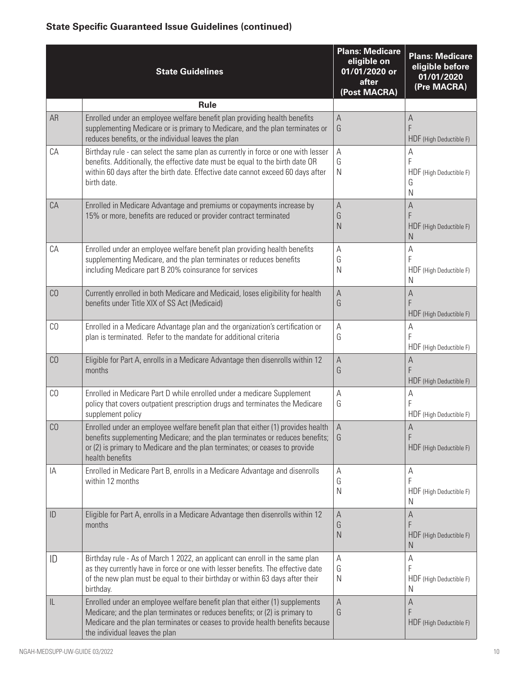|                                   | <b>State Guidelines</b>                                                                                                                                                                                                                                                          | <b>Plans: Medicare</b><br>eligible on<br>01/01/2020 or<br>after<br>(Post MACRA) | <b>Plans: Medicare</b><br>eligible before<br>01/01/2020<br>(Pre MACRA) |
|-----------------------------------|----------------------------------------------------------------------------------------------------------------------------------------------------------------------------------------------------------------------------------------------------------------------------------|---------------------------------------------------------------------------------|------------------------------------------------------------------------|
|                                   | <b>Rule</b>                                                                                                                                                                                                                                                                      |                                                                                 |                                                                        |
| AR                                | Enrolled under an employee welfare benefit plan providing health benefits<br>supplementing Medicare or is primary to Medicare, and the plan terminates or<br>reduces benefits, or the individual leaves the plan                                                                 | $\mathsf A$<br>G                                                                | A<br>F<br>HDF (High Deductible F)                                      |
| CA                                | Birthday rule - can select the same plan as currently in force or one with lesser<br>benefits. Additionally, the effective date must be equal to the birth date OR<br>within 60 days after the birth date. Effective date cannot exceed 60 days after<br>birth date.             | $\mathsf A$<br>G<br>N                                                           | A<br>F<br>HDF (High Deductible F)<br>G<br>N                            |
| CA                                | Enrolled in Medicare Advantage and premiums or copayments increase by<br>15% or more, benefits are reduced or provider contract terminated                                                                                                                                       | $\mathsf{A}$<br>G<br>$\mathsf{N}$                                               | A<br>F<br>HDF (High Deductible F)<br>N                                 |
| СA                                | Enrolled under an employee welfare benefit plan providing health benefits<br>supplementing Medicare, and the plan terminates or reduces benefits<br>including Medicare part B 20% coinsurance for services                                                                       | A<br>G<br>N                                                                     | А<br>F<br>HDF (High Deductible F)<br>N                                 |
| C <sub>0</sub>                    | Currently enrolled in both Medicare and Medicaid, loses eligibility for health<br>benefits under Title XIX of SS Act (Medicaid)                                                                                                                                                  | $\mathsf{A}$<br>G                                                               | А<br>F<br>HDF (High Deductible F)                                      |
| C <sub>0</sub>                    | Enrolled in a Medicare Advantage plan and the organization's certification or<br>plan is terminated. Refer to the mandate for additional criteria                                                                                                                                | A<br>G                                                                          | Α<br>F<br>HDF (High Deductible F)                                      |
| C <sub>0</sub>                    | Eligible for Part A, enrolls in a Medicare Advantage then disenrolls within 12<br>months                                                                                                                                                                                         | $\mathsf{A}$<br>G                                                               | A<br>F<br>HDF (High Deductible F)                                      |
| C <sub>0</sub>                    | Enrolled in Medicare Part D while enrolled under a medicare Supplement<br>policy that covers outpatient prescription drugs and terminates the Medicare<br>supplement policy                                                                                                      | A<br>G                                                                          | A<br>F<br>HDF (High Deductible F)                                      |
| CO                                | Enrolled under an employee welfare benefit plan that either (1) provides health $\parallel$ A<br>benefits supplementing Medicare; and the plan terminates or reduces benefits;<br>or (2) is primary to Medicare and the plan terminates; or ceases to provide<br>health benefits | G                                                                               | A<br>F<br>HDF (High Deductible F)                                      |
| ΙA                                | Enrolled in Medicare Part B, enrolls in a Medicare Advantage and disenrolls<br>within 12 months                                                                                                                                                                                  | Α<br>G<br>N                                                                     | Α<br>F<br>HDF (High Deductible F)<br>N                                 |
| ID                                | Eligible for Part A, enrolls in a Medicare Advantage then disenrolls within 12<br>months                                                                                                                                                                                         | A<br>G<br>$\mathsf{N}$                                                          | А<br>F<br>HDF (High Deductible F)<br>N                                 |
| ID                                | Birthday rule - As of March 1 2022, an applicant can enroll in the same plan<br>as they currently have in force or one with lesser benefits. The effective date<br>of the new plan must be equal to their birthday or within 63 days after their<br>birthday.                    | А<br>G<br>N                                                                     | А<br>F<br>HDF (High Deductible F)<br>N                                 |
| $\ensuremath{\mathsf{IL}}\xspace$ | Enrolled under an employee welfare benefit plan that either (1) supplements<br>Medicare; and the plan terminates or reduces benefits; or (2) is primary to<br>Medicare and the plan terminates or ceases to provide health benefits because<br>the individual leaves the plan    | $\mathsf{A}$<br>G                                                               | A<br>HDF (High Deductible F)                                           |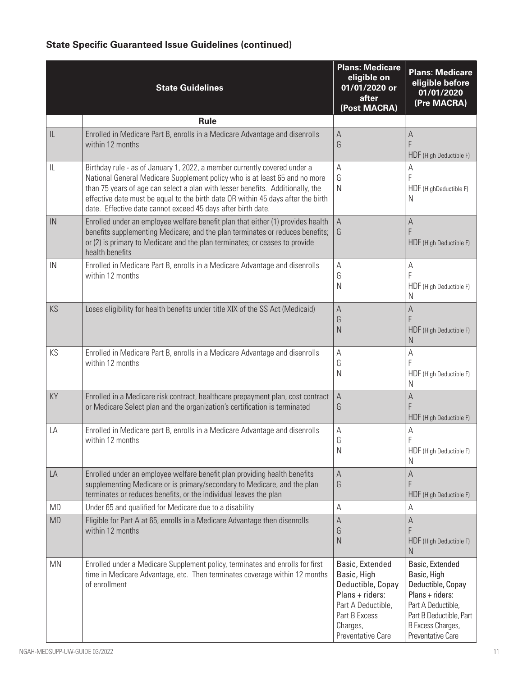|                                   | <b>State Guidelines</b>                                                                                                                                                                                                                                                                                                                                                                       | <b>Plans: Medicare</b><br>eligible on<br>01/01/2020 or<br>after<br>(Post MACRA)                                                                | <b>Plans: Medicare</b><br>eligible before<br>01/01/2020<br>(Pre MACRA)                                                                                            |
|-----------------------------------|-----------------------------------------------------------------------------------------------------------------------------------------------------------------------------------------------------------------------------------------------------------------------------------------------------------------------------------------------------------------------------------------------|------------------------------------------------------------------------------------------------------------------------------------------------|-------------------------------------------------------------------------------------------------------------------------------------------------------------------|
|                                   | <b>Rule</b>                                                                                                                                                                                                                                                                                                                                                                                   |                                                                                                                                                |                                                                                                                                                                   |
| $\ensuremath{\mathsf{IL}}\xspace$ | Enrolled in Medicare Part B, enrolls in a Medicare Advantage and disenrolls<br>within 12 months                                                                                                                                                                                                                                                                                               | $\mathsf{A}$<br>G                                                                                                                              | A<br>F<br>HDF (High Deductible F)                                                                                                                                 |
| $\sf IL$                          | Birthday rule - as of January 1, 2022, a member currently covered under a<br>National General Medicare Supplement policy who is at least 65 and no more<br>than 75 years of age can select a plan with lesser benefits. Additionally, the<br>effective date must be equal to the birth date OR within 45 days after the birth<br>date. Effective date cannot exceed 45 days after birth date. | А<br>G<br>$\mathsf{N}$                                                                                                                         | A<br>F<br>HDF (HighDeductible F)<br>N                                                                                                                             |
| IN                                | Enrolled under an employee welfare benefit plan that either (1) provides health<br>benefits supplementing Medicare; and the plan terminates or reduces benefits;<br>or (2) is primary to Medicare and the plan terminates; or ceases to provide<br>health benefits                                                                                                                            | A<br>G                                                                                                                                         | A<br>F<br>HDF (High Deductible F)                                                                                                                                 |
| IN                                | Enrolled in Medicare Part B, enrolls in a Medicare Advantage and disenrolls<br>within 12 months                                                                                                                                                                                                                                                                                               | A<br>G<br>$\mathsf{N}$                                                                                                                         | A<br>F<br>HDF (High Deductible F)<br>N                                                                                                                            |
| KS                                | Loses eligibility for health benefits under title XIX of the SS Act (Medicaid)                                                                                                                                                                                                                                                                                                                | $\mathsf{A}$<br>G<br>N                                                                                                                         | A<br>F<br>HDF (High Deductible F)<br>N                                                                                                                            |
| KS                                | Enrolled in Medicare Part B, enrolls in a Medicare Advantage and disenrolls<br>within 12 months                                                                                                                                                                                                                                                                                               | А<br>G<br>$\mathsf{N}$                                                                                                                         | Α<br>F<br>HDF (High Deductible F)<br>N                                                                                                                            |
| KY                                | Enrolled in a Medicare risk contract, healthcare prepayment plan, cost contract<br>or Medicare Select plan and the organization's certification is terminated                                                                                                                                                                                                                                 | $\mathsf A$<br>G                                                                                                                               | A<br>F<br>HDF (High Deductible F)                                                                                                                                 |
| LA                                | Enrolled in Medicare part B, enrolls in a Medicare Advantage and disenrolls<br>within 12 months                                                                                                                                                                                                                                                                                               | А<br>G<br>$\mathsf{N}$                                                                                                                         | A<br>F<br>HDF (High Deductible F)<br>N                                                                                                                            |
| LA                                | Enrolled under an employee welfare benefit plan providing health benefits<br>supplementing Medicare or is primary/secondary to Medicare, and the plan<br>terminates or reduces benefits, or the individual leaves the plan                                                                                                                                                                    | $\mathsf{A}$<br>G                                                                                                                              | $\overline{A}$<br>F<br>HDF (High Deductible F)                                                                                                                    |
| <b>MD</b>                         | Under 65 and qualified for Medicare due to a disability                                                                                                                                                                                                                                                                                                                                       | А                                                                                                                                              | А                                                                                                                                                                 |
| <b>MD</b>                         | Eligible for Part A at 65, enrolls in a Medicare Advantage then disenrolls<br>within 12 months                                                                                                                                                                                                                                                                                                | А<br>G<br>$\mathsf{N}$                                                                                                                         | $\mathsf{A}$<br>F<br>HDF (High Deductible F)<br>N                                                                                                                 |
| <b>MN</b>                         | Enrolled under a Medicare Supplement policy, terminates and enrolls for first<br>time in Medicare Advantage, etc. Then terminates coverage within 12 months<br>of enrollment                                                                                                                                                                                                                  | Basic, Extended<br>Basic, High<br>Deductible, Copay<br>Plans + riders:<br>Part A Deductible,<br>Part B Excess<br>Charges,<br>Preventative Care | Basic, Extended<br>Basic, High<br>Deductible, Copay<br>Plans + riders:<br>Part A Deductible,<br>Part B Deductible, Part<br>B Excess Charges,<br>Preventative Care |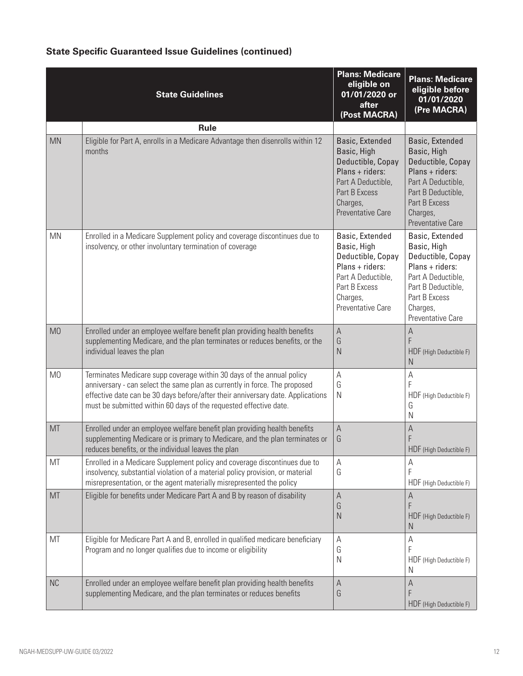|                | <b>State Guidelines</b>                                                                                                                                                                                                                                                                                     | <b>Plans: Medicare</b><br>eligible on<br>01/01/2020 or<br>after<br>(Post MACRA)                                                                         | <b>Plans: Medicare</b><br>eligible before<br>01/01/2020<br>(Pre MACRA)                                                                                                      |
|----------------|-------------------------------------------------------------------------------------------------------------------------------------------------------------------------------------------------------------------------------------------------------------------------------------------------------------|---------------------------------------------------------------------------------------------------------------------------------------------------------|-----------------------------------------------------------------------------------------------------------------------------------------------------------------------------|
|                | <b>Rule</b>                                                                                                                                                                                                                                                                                                 |                                                                                                                                                         |                                                                                                                                                                             |
| <b>MN</b>      | Eligible for Part A, enrolls in a Medicare Advantage then disenrolls within 12<br>months                                                                                                                                                                                                                    | Basic, Extended<br>Basic, High<br>Deductible, Copay<br>$Plans + riders:$<br>Part A Deductible,<br>Part B Excess<br>Charges,<br><b>Preventative Care</b> | Basic, Extended<br>Basic, High<br>Deductible, Copay<br>Plans + riders:<br>Part A Deductible,<br>Part B Deductible,<br>Part B Excess<br>Charges,<br><b>Preventative Care</b> |
| <b>MN</b>      | Enrolled in a Medicare Supplement policy and coverage discontinues due to<br>insolvency, or other involuntary termination of coverage                                                                                                                                                                       | Basic, Extended<br>Basic, High<br>Deductible, Copay<br>Plans + riders:<br>Part A Deductible,<br>Part B Excess<br>Charges,<br>Preventative Care          | Basic, Extended<br>Basic, High<br>Deductible, Copay<br>Plans + riders:<br>Part A Deductible,<br>Part B Deductible,<br>Part B Excess<br>Charges,<br>Preventative Care        |
| M <sub>0</sub> | Enrolled under an employee welfare benefit plan providing health benefits<br>supplementing Medicare, and the plan terminates or reduces benefits, or the<br>individual leaves the plan                                                                                                                      | $\mathsf{A}$<br>G<br>$\mathsf{N}$                                                                                                                       | Α<br>F<br>HDF (High Deductible F)<br>N                                                                                                                                      |
| M <sub>0</sub> | Terminates Medicare supp coverage within 30 days of the annual policy<br>anniversary - can select the same plan as currently in force. The proposed<br>effective date can be 30 days before/after their anniversary date. Applications<br>must be submitted within 60 days of the requested effective date. | A<br>G<br>N                                                                                                                                             | Α<br>F<br>HDF (High Deductible F)<br>G<br>N                                                                                                                                 |
| MT             | Enrolled under an employee welfare benefit plan providing health benefits<br>supplementing Medicare or is primary to Medicare, and the plan terminates or<br>reduces benefits, or the individual leaves the plan                                                                                            | $\mathsf A$<br>G                                                                                                                                        | A<br>F<br>HDF (High Deductible F)                                                                                                                                           |
| MT             | Enrolled in a Medicare Supplement policy and coverage discontinues due to<br>insolvency, substantial violation of a material policy provision, or material<br>misrepresentation, or the agent materially misrepresented the policy                                                                          | А<br>G                                                                                                                                                  | Α<br>HDF (High Deductible F)                                                                                                                                                |
| MT             | Eligible for benefits under Medicare Part A and B by reason of disability                                                                                                                                                                                                                                   | A<br>G<br>$\mathsf{N}$                                                                                                                                  | Α<br>F<br>HDF (High Deductible F)<br>N                                                                                                                                      |
| MT             | Eligible for Medicare Part A and B, enrolled in qualified medicare beneficiary<br>Program and no longer qualifies due to income or eligibility                                                                                                                                                              | А<br>G<br>N                                                                                                                                             | А<br>HDF (High Deductible F)<br>N                                                                                                                                           |
| <b>NC</b>      | Enrolled under an employee welfare benefit plan providing health benefits<br>supplementing Medicare, and the plan terminates or reduces benefits                                                                                                                                                            | $\mathsf{A}$<br>G                                                                                                                                       | A<br>HDF (High Deductible F)                                                                                                                                                |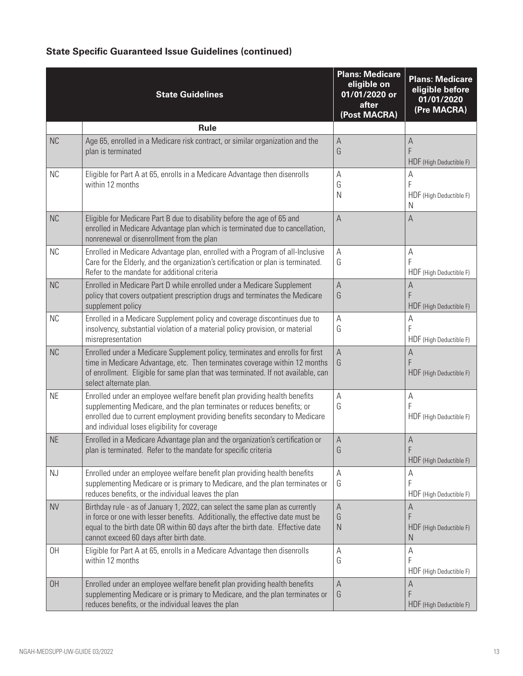|           | <b>State Guidelines</b>                                                                                                                                                                                                                                                                     | <b>Plans: Medicare</b><br>eligible on<br>01/01/2020 or<br>after<br>(Post MACRA) | <b>Plans: Medicare</b><br>eligible before<br>01/01/2020<br>(Pre MACRA) |
|-----------|---------------------------------------------------------------------------------------------------------------------------------------------------------------------------------------------------------------------------------------------------------------------------------------------|---------------------------------------------------------------------------------|------------------------------------------------------------------------|
|           | <b>Rule</b>                                                                                                                                                                                                                                                                                 |                                                                                 |                                                                        |
| <b>NC</b> | Age 65, enrolled in a Medicare risk contract, or similar organization and the<br>plan is terminated                                                                                                                                                                                         | $\mathsf{A}$<br>G                                                               | A<br>F<br>HDF (High Deductible F)                                      |
| <b>NC</b> | Eligible for Part A at 65, enrolls in a Medicare Advantage then disenrolls<br>within 12 months                                                                                                                                                                                              | Α<br>G<br>Ν                                                                     | Α<br>F<br>HDF (High Deductible F)<br>N                                 |
| <b>NC</b> | Eligible for Medicare Part B due to disability before the age of 65 and<br>enrolled in Medicare Advantage plan which is terminated due to cancellation,<br>nonrenewal or disenrollment from the plan                                                                                        | $\mathsf A$                                                                     | A                                                                      |
| <b>NC</b> | Enrolled in Medicare Advantage plan, enrolled with a Program of all-Inclusive<br>Care for the Elderly, and the organization's certification or plan is terminated.<br>Refer to the mandate for additional criteria                                                                          | A<br>G                                                                          | A<br>F<br>HDF (High Deductible F)                                      |
| <b>NC</b> | Enrolled in Medicare Part D while enrolled under a Medicare Supplement<br>policy that covers outpatient prescription drugs and terminates the Medicare<br>supplement policy                                                                                                                 | A<br>G                                                                          | A<br>F<br>HDF (High Deductible F)                                      |
| <b>NC</b> | Enrolled in a Medicare Supplement policy and coverage discontinues due to<br>insolvency, substantial violation of a material policy provision, or material<br>misrepresentation                                                                                                             | А<br>G                                                                          | A<br>F<br>HDF (High Deductible F)                                      |
| <b>NC</b> | Enrolled under a Medicare Supplement policy, terminates and enrolls for first<br>time in Medicare Advantage, etc. Then terminates coverage within 12 months<br>of enrollment. Eligible for same plan that was terminated. If not available, can<br>select alternate plan.                   | $\mathsf A$<br>G                                                                | A<br>F<br>HDF (High Deductible F)                                      |
| <b>NE</b> | Enrolled under an employee welfare benefit plan providing health benefits<br>supplementing Medicare, and the plan terminates or reduces benefits; or<br>enrolled due to current employment providing benefits secondary to Medicare<br>and individual loses eligibility for coverage        | Α<br>G                                                                          | Α<br>F<br>HDF (High Deductible F)                                      |
| <b>NE</b> | Enrolled in a Medicare Advantage plan and the organization's certification or<br>plan is terminated. Refer to the mandate for specific criteria                                                                                                                                             | A<br>G                                                                          | A<br>F<br>HDF (High Deductible F)                                      |
| NJ        | Enrolled under an employee welfare benefit plan providing health benefits<br>supplementing Medicare or is primary to Medicare, and the plan terminates or<br>reduces benefits, or the individual leaves the plan                                                                            | А<br>G                                                                          | А<br>F<br>HDF (High Deductible F)                                      |
| <b>NV</b> | Birthday rule - as of January 1, 2022, can select the same plan as currently<br>in force or one with lesser benefits. Additionally, the effective date must be<br>equal to the birth date OR within 60 days after the birth date. Effective date<br>cannot exceed 60 days after birth date. | $\mathsf A$<br>G<br>${\sf N}$                                                   | A<br>F<br>HDF (High Deductible F)<br>N                                 |
| 0H        | Eligible for Part A at 65, enrolls in a Medicare Advantage then disenrolls<br>within 12 months                                                                                                                                                                                              | Α<br>G                                                                          | Α<br>F<br>HDF (High Deductible F)                                      |
| <b>OH</b> | Enrolled under an employee welfare benefit plan providing health benefits<br>supplementing Medicare or is primary to Medicare, and the plan terminates or<br>reduces benefits, or the individual leaves the plan                                                                            | $\mathsf A$<br>G                                                                | A<br>F<br>HDF (High Deductible F)                                      |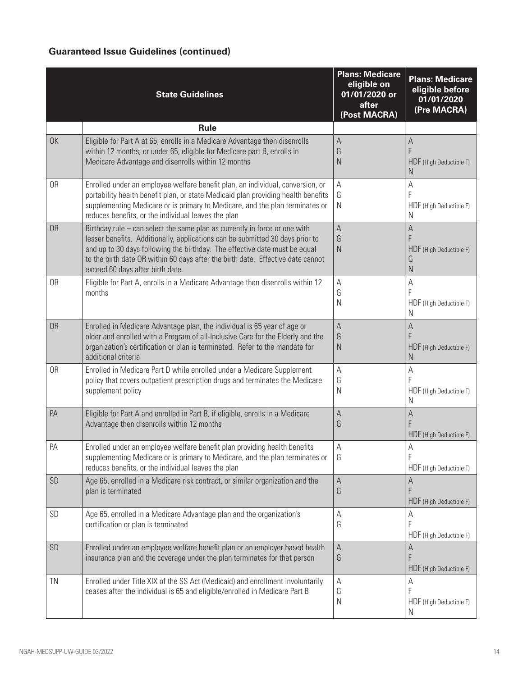## **Guaranteed Issue Guidelines (continued)**

|           | <b>State Guidelines</b>                                                                                                                                                                                                                                                                                                                                          | <b>Plans: Medicare</b><br>eligible on<br>01/01/2020 or<br>after<br>(Post MACRA) | <b>Plans: Medicare</b><br>eligible before<br>01/01/2020<br>(Pre MACRA) |
|-----------|------------------------------------------------------------------------------------------------------------------------------------------------------------------------------------------------------------------------------------------------------------------------------------------------------------------------------------------------------------------|---------------------------------------------------------------------------------|------------------------------------------------------------------------|
|           | <b>Rule</b>                                                                                                                                                                                                                                                                                                                                                      |                                                                                 |                                                                        |
| <b>OK</b> | Eligible for Part A at 65, enrolls in a Medicare Advantage then disenrolls<br>within 12 months; or under 65, eligible for Medicare part B, enrolls in<br>Medicare Advantage and disenrolls within 12 months                                                                                                                                                      | $\mathsf{A}$<br>G<br>N                                                          | A<br>F<br>HDF (High Deductible F)<br>N                                 |
| 0R        | Enrolled under an employee welfare benefit plan, an individual, conversion, or<br>portability health benefit plan, or state Medicaid plan providing health benefits<br>supplementing Medicare or is primary to Medicare, and the plan terminates or<br>reduces benefits, or the individual leaves the plan                                                       | $\mathsf{A}$<br>G<br>N                                                          | А<br>F<br>HDF (High Deductible F)<br>N                                 |
| <b>OR</b> | Birthday rule – can select the same plan as currently in force or one with<br>lesser benefits. Additionally, applications can be submitted 30 days prior to<br>and up to 30 days following the birthday. The effective date must be equal<br>to the birth date OR within 60 days after the birth date. Effective date cannot<br>exceed 60 days after birth date. | $\mathsf{A}$<br>G<br>$\mathsf{N}$                                               | A<br>F<br>HDF (High Deductible F)<br>G<br>N                            |
| 0R        | Eligible for Part A, enrolls in a Medicare Advantage then disenrolls within 12<br>months                                                                                                                                                                                                                                                                         | $\mathsf{A}$<br>G<br>N                                                          | А<br>F<br>HDF (High Deductible F)<br>N                                 |
| <b>OR</b> | Enrolled in Medicare Advantage plan, the individual is 65 year of age or<br>older and enrolled with a Program of all-Inclusive Care for the Elderly and the<br>organization's certification or plan is terminated. Refer to the mandate for<br>additional criteria                                                                                               | $\mathsf{A}$<br>G<br>N                                                          | А<br>F<br>HDF (High Deductible F)<br>N                                 |
| 0R        | Enrolled in Medicare Part D while enrolled under a Medicare Supplement<br>policy that covers outpatient prescription drugs and terminates the Medicare<br>supplement policy                                                                                                                                                                                      | $\mathsf A$<br>G<br>N                                                           | A<br>F<br>HDF (High Deductible F)<br>N                                 |
| PA        | Eligible for Part A and enrolled in Part B, if eligible, enrolls in a Medicare<br>Advantage then disenrolls within 12 months                                                                                                                                                                                                                                     | $\mathsf{A}$<br>G                                                               | А<br>F<br>HDF (High Deductible F)                                      |
| PA        | Enrolled under an employee welfare benefit plan providing health benefits<br>supplementing Medicare or is primary to Medicare, and the plan terminates or<br>reduces benefits, or the individual leaves the plan                                                                                                                                                 | Α<br>G                                                                          | A<br>F<br>HDF (High Deductible F)                                      |
| SD        | Age 65, enrolled in a Medicare risk contract, or similar organization and the<br>plan is terminated                                                                                                                                                                                                                                                              | $\mathsf{A}$<br>G                                                               | А<br>F<br>HDF (High Deductible F)                                      |
| SD        | Age 65, enrolled in a Medicare Advantage plan and the organization's<br>certification or plan is terminated                                                                                                                                                                                                                                                      | Α<br>G                                                                          | A<br>F<br>HDF (High Deductible F)                                      |
| SD        | Enrolled under an employee welfare benefit plan or an employer based health<br>insurance plan and the coverage under the plan terminates for that person                                                                                                                                                                                                         | $\mathsf{A}$<br>G                                                               | A<br>F<br>HDF (High Deductible F)                                      |
| TN        | Enrolled under Title XIX of the SS Act (Medicaid) and enrollment involuntarily<br>ceases after the individual is 65 and eligible/enrolled in Medicare Part B                                                                                                                                                                                                     | A<br>G<br>N                                                                     | А<br>F<br>HDF (High Deductible F)<br>N                                 |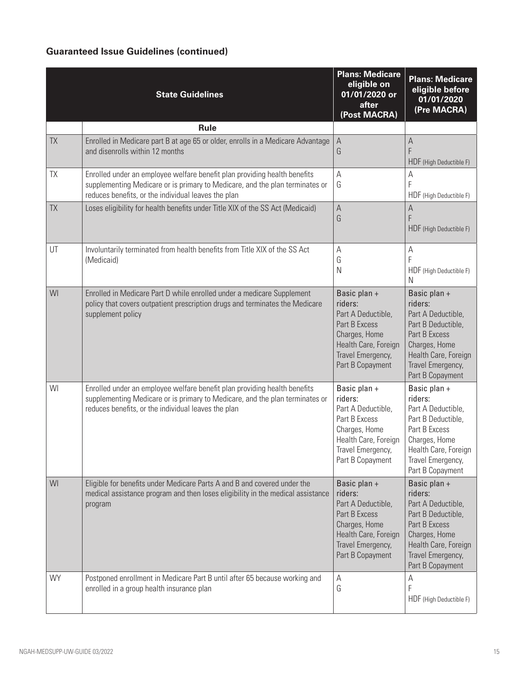## **Guaranteed Issue Guidelines (continued)**

|           | <b>State Guidelines</b>                                                                                                                                                                                          | <b>Plans: Medicare</b><br>eligible on<br>01/01/2020 or<br>after<br>(Post MACRA)                                                                  | <b>Plans: Medicare</b><br>eligible before<br>01/01/2020<br>(Pre MACRA)                                                                                                 |
|-----------|------------------------------------------------------------------------------------------------------------------------------------------------------------------------------------------------------------------|--------------------------------------------------------------------------------------------------------------------------------------------------|------------------------------------------------------------------------------------------------------------------------------------------------------------------------|
|           | <b>Rule</b>                                                                                                                                                                                                      |                                                                                                                                                  |                                                                                                                                                                        |
| <b>TX</b> | Enrolled in Medicare part B at age 65 or older, enrolls in a Medicare Advantage<br>and disenrolls within 12 months                                                                                               | $\mathsf A$<br>G                                                                                                                                 | А<br>F<br>HDF (High Deductible F)                                                                                                                                      |
| TX        | Enrolled under an employee welfare benefit plan providing health benefits<br>supplementing Medicare or is primary to Medicare, and the plan terminates or<br>reduces benefits, or the individual leaves the plan | $\mathsf{A}$<br>G                                                                                                                                | A<br>F<br>HDF (High Deductible F)                                                                                                                                      |
| <b>TX</b> | Loses eligibility for health benefits under Title XIX of the SS Act (Medicaid)                                                                                                                                   | $\boldsymbol{\mathsf{A}}$<br>G                                                                                                                   | А<br>F<br>HDF (High Deductible F)                                                                                                                                      |
| UT        | Involuntarily terminated from health benefits from Title XIX of the SS Act<br>(Medicaid)                                                                                                                         | A<br>G<br>N                                                                                                                                      | Α<br>F<br>HDF (High Deductible F)<br>N                                                                                                                                 |
| WI        | Enrolled in Medicare Part D while enrolled under a medicare Supplement<br>policy that covers outpatient prescription drugs and terminates the Medicare<br>supplement policy                                      | Basic plan +<br>riders:<br>Part A Deductible,<br>Part B Excess<br>Charges, Home<br>Health Care, Foreign<br>Travel Emergency,<br>Part B Copayment | Basic plan +<br>riders:<br>Part A Deductible,<br>Part B Deductible,<br>Part B Excess<br>Charges, Home<br>Health Care, Foreign<br>Travel Emergency,<br>Part B Copayment |
| WI        | Enrolled under an employee welfare benefit plan providing health benefits<br>supplementing Medicare or is primary to Medicare, and the plan terminates or<br>reduces benefits, or the individual leaves the plan | Basic plan +<br>riders:<br>Part A Deductible,<br>Part B Excess<br>Charges, Home<br>Health Care, Foreign<br>Travel Emergency,<br>Part B Copayment | Basic plan +<br>riders:<br>Part A Deductible,<br>Part B Deductible,<br>Part B Excess<br>Charges, Home<br>Health Care, Foreign<br>Travel Emergency,<br>Part B Copayment |
| WI        | Eligible for benefits under Medicare Parts A and B and covered under the<br>medical assistance program and then loses eligibility in the medical assistance<br>program                                           | Basic plan +<br>riders:<br>Part A Deductible,<br>Part B Excess<br>Charges, Home<br>Health Care, Foreign<br>Travel Emergency,<br>Part B Copayment | Basic plan +<br>riders:<br>Part A Deductible,<br>Part B Deductible,<br>Part B Excess<br>Charges, Home<br>Health Care, Foreign<br>Travel Emergency,<br>Part B Copayment |
| WY        | Postponed enrollment in Medicare Part B until after 65 because working and<br>enrolled in a group health insurance plan                                                                                          | $\mathsf A$<br>G                                                                                                                                 | А<br>F<br>HDF (High Deductible F)                                                                                                                                      |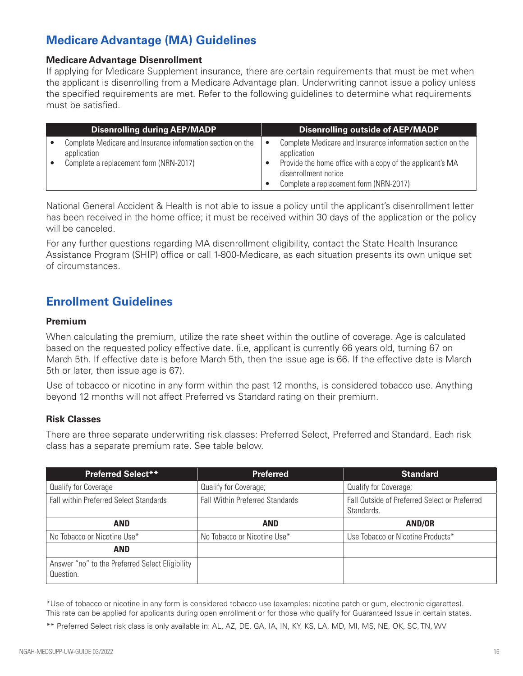# **Medicare Advantage (MA) Guidelines**

#### **Medicare Advantage Disenrollment**

If applying for Medicare Supplement insurance, there are certain requirements that must be met when the applicant is disenrolling from a Medicare Advantage plan. Underwriting cannot issue a policy unless the specified requirements are met. Refer to the following guidelines to determine what requirements must be satisfied.

| <b>Disenrolling during AEP/MADP</b>                                                                                 | <b>Disenrolling outside of AEP/MADP</b>                                                                                                                                                                  |
|---------------------------------------------------------------------------------------------------------------------|----------------------------------------------------------------------------------------------------------------------------------------------------------------------------------------------------------|
| Complete Medicare and Insurance information section on the<br>application<br>Complete a replacement form (NRN-2017) | Complete Medicare and Insurance information section on the<br>application<br>Provide the home office with a copy of the applicant's MA<br>disenrollment notice<br>Complete a replacement form (NRN-2017) |

National General Accident & Health is not able to issue a policy until the applicant's disenrollment letter has been received in the home office; it must be received within 30 days of the application or the policy will be canceled.

For any further questions regarding MA disenrollment eligibility, contact the State Health Insurance Assistance Program (SHIP) office or call 1-800-Medicare, as each situation presents its own unique set of circumstances.

# **Enrollment Guidelines**

#### **Premium**

When calculating the premium, utilize the rate sheet within the outline of coverage. Age is calculated based on the requested policy effective date. (i.e, applicant is currently 66 years old, turning 67 on March 5th. If effective date is before March 5th, then the issue age is 66. If the effective date is March 5th or later, then issue age is 67).

Use of tobacco or nicotine in any form within the past 12 months, is considered tobacco use. Anything beyond 12 months will not affect Preferred vs Standard rating on their premium.

#### **Risk Classes**

There are three separate underwriting risk classes: Preferred Select, Preferred and Standard. Each risk class has a separate premium rate. See table below.

| <b>Preferred Select**</b>                                    | <b>Preferred</b>                       | <b>Standard</b>                                             |
|--------------------------------------------------------------|----------------------------------------|-------------------------------------------------------------|
| Qualify for Coverage                                         | Qualify for Coverage;                  | Qualify for Coverage;                                       |
| <b>Fall within Preferred Select Standards</b>                | <b>Fall Within Preferred Standards</b> | Fall Outside of Preferred Select or Preferred<br>Standards. |
| <b>AND</b>                                                   | <b>AND</b>                             | AND/OR                                                      |
| No Tobacco or Nicotine Use*                                  | No Tobacco or Nicotine Use*            | Use Tobacco or Nicotine Products*                           |
| <b>AND</b>                                                   |                                        |                                                             |
| Answer "no" to the Preferred Select Eligibility<br>Question. |                                        |                                                             |

\*Use of tobacco or nicotine in any form is considered tobacco use (examples: nicotine patch or gum, electronic cigarettes). This rate can be applied for applicants during open enrollment or for those who qualify for Guaranteed Issue in certain states.

\*\* Preferred Select risk class is only available in: AL, AZ, DE, GA, IA, IN, KY, KS, LA, MD, MI, MS, NE, OK, SC, TN, WV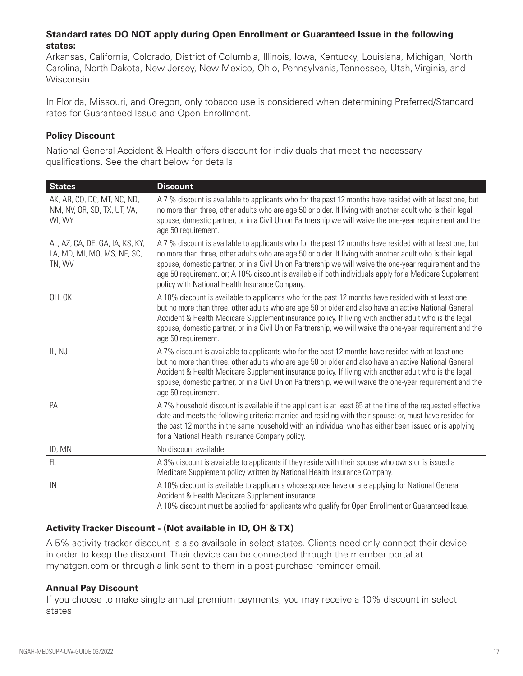### **Standard rates DO NOT apply during Open Enrollment or Guaranteed Issue in the following states:**

Arkansas, California, Colorado, District of Columbia, Illinois, Iowa, Kentucky, Louisiana, Michigan, North Carolina, North Dakota, New Jersey, New Mexico, Ohio, Pennsylvania, Tennessee, Utah, Virginia, and Wisconsin.

In Florida, Missouri, and Oregon, only tobacco use is considered when determining Preferred/Standard rates for Guaranteed Issue and Open Enrollment.

### **Policy Discount**

National General Accident & Health offers discount for individuals that meet the necessary qualifications. See the chart below for details.

| <b>States</b>                                                            | <b>Discount</b>                                                                                                                                                                                                                                                                                                                                                                                                                                                                                |
|--------------------------------------------------------------------------|------------------------------------------------------------------------------------------------------------------------------------------------------------------------------------------------------------------------------------------------------------------------------------------------------------------------------------------------------------------------------------------------------------------------------------------------------------------------------------------------|
| AK, AR, CO, DC, MT, NC, ND,<br>NM, NV, OR, SD, TX, UT, VA,<br>WI, WY     | A 7 % discount is available to applicants who for the past 12 months have resided with at least one, but<br>no more than three, other adults who are age 50 or older. If living with another adult who is their legal<br>spouse, domestic partner, or in a Civil Union Partnership we will waive the one-year requirement and the<br>age 50 requirement.                                                                                                                                       |
| AL, AZ, CA, DE, GA, IA, KS, KY,<br>LA, MD, MI, MO, MS, NE, SC,<br>TN, WV | A 7 % discount is available to applicants who for the past 12 months have resided with at least one, but<br>no more than three, other adults who are age 50 or older. If living with another adult who is their legal<br>spouse, domestic partner, or in a Civil Union Partnership we will waive the one-year requirement and the<br>age 50 requirement. or; A 10% discount is available if both individuals apply for a Medicare Supplement<br>policy with National Health Insurance Company. |
| OH, OK                                                                   | A 10% discount is available to applicants who for the past 12 months have resided with at least one<br>but no more than three, other adults who are age 50 or older and also have an active National General<br>Accident & Health Medicare Supplement insurance policy. If living with another adult who is the legal<br>spouse, domestic partner, or in a Civil Union Partnership, we will waive the one-year requirement and the<br>age 50 requirement.                                      |
| IL, NJ                                                                   | A 7% discount is available to applicants who for the past 12 months have resided with at least one<br>but no more than three, other adults who are age 50 or older and also have an active National General<br>Accident & Health Medicare Supplement insurance policy. If living with another adult who is the legal<br>spouse, domestic partner, or in a Civil Union Partnership, we will waive the one-year requirement and the<br>age 50 requirement.                                       |
| PA                                                                       | A 7% household discount is available if the applicant is at least 65 at the time of the requested effective<br>date and meets the following criteria: married and residing with their spouse; or, must have resided for<br>the past 12 months in the same household with an individual who has either been issued or is applying<br>for a National Health Insurance Company policy.                                                                                                            |
| ID, MN                                                                   | No discount available                                                                                                                                                                                                                                                                                                                                                                                                                                                                          |
| FL                                                                       | A 3% discount is available to applicants if they reside with their spouse who owns or is issued a<br>Medicare Supplement policy written by National Health Insurance Company.                                                                                                                                                                                                                                                                                                                  |
| IN                                                                       | A 10% discount is available to applicants whose spouse have or are applying for National General<br>Accident & Health Medicare Supplement insurance.<br>A 10% discount must be applied for applicants who qualify for Open Enrollment or Guaranteed Issue.                                                                                                                                                                                                                                     |

## **Activity Tracker Discount - (Not available in ID, OH & TX)**

A 5% activity tracker discount is also available in select states. Clients need only connect their device in order to keep the discount. Their device can be connected through the member portal at mynatgen.com or through a link sent to them in a post-purchase reminder email.

#### **Annual Pay Discount**

If you choose to make single annual premium payments, you may receive a 10% discount in select states.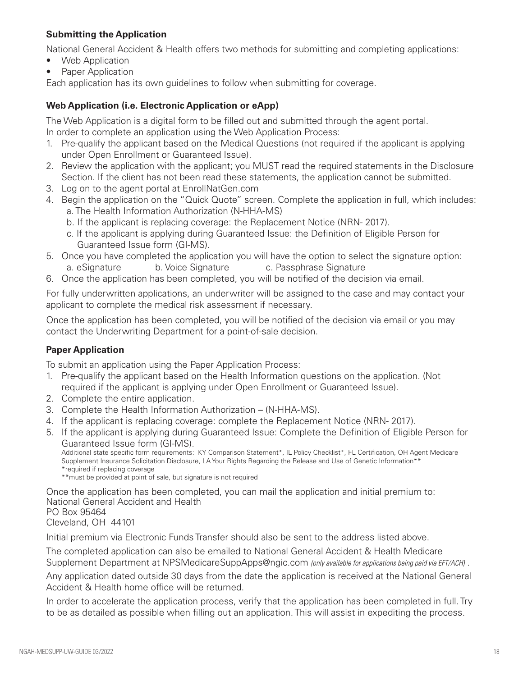### **Submitting the Application**

National General Accident & Health offers two methods for submitting and completing applications:

- Web Application
- Paper Application

Each application has its own guidelines to follow when submitting for coverage.

### **Web Application (i.e. Electronic Application or eApp)**

The Web Application is a digital form to be filled out and submitted through the agent portal. In order to complete an application using the Web Application Process:

- 1. Pre-qualify the applicant based on the Medical Questions (not required if the applicant is applying under Open Enrollment or Guaranteed Issue).
- 2. Review the application with the applicant; you MUST read the required statements in the Disclosure Section. If the client has not been read these statements, the application cannot be submitted.
- 3. Log on to the agent portal at EnrollNatGen.com
- 4. Begin the application on the "Quick Quote" screen. Complete the application in full, which includes: a. The Health Information Authorization (N-HHA-MS)
	- b. If the applicant is replacing coverage: the Replacement Notice (NRN- 2017).
	- c. If the applicant is applying during Guaranteed Issue: the Definition of Eligible Person for Guaranteed Issue form (GI-MS).
- 5. Once you have completed the application you will have the option to select the signature option: a. eSignature b. Voice Signature c. Passphrase Signature
- 6. Once the application has been completed, you will be notified of the decision via email.

For fully underwritten applications, an underwriter will be assigned to the case and may contact your applicant to complete the medical risk assessment if necessary.

Once the application has been completed, you will be notified of the decision via email or you may contact the Underwriting Department for a point-of-sale decision.

#### **Paper Application**

To submit an application using the Paper Application Process:

- 1. Pre-qualify the applicant based on the Health Information questions on the application. (Not required if the applicant is applying under Open Enrollment or Guaranteed Issue).
- 2. Complete the entire application.
- 3. Complete the Health Information Authorization (N-HHA-MS).
- 4. If the applicant is replacing coverage: complete the Replacement Notice (NRN- 2017).
- 5. If the applicant is applying during Guaranteed Issue: Complete the Definition of Eligible Person for Guaranteed Issue form (GI-MS).

Additional state specific form requirements: KY Comparison Statement\*, IL Policy Checklist\*, FL Certification, OH Agent Medicare Supplement Insurance Solicitation Disclosure, LA Your Rights Regarding the Release and Use of Genetic Information\*\* \*required if replacing coverage

\*\*must be provided at point of sale, but signature is not required

Once the application has been completed, you can mail the application and initial premium to: National General Accident and Health PO Box 95464 Cleveland, OH 44101

Initial premium via Electronic Funds Transfer should also be sent to the address listed above.

The completed application can also be emailed to National General Accident & Health Medicare Supplement Department at NPSMedicareSuppApps@ngic.com *(only available for applications being paid via EFT/ACH)* .

Any application dated outside 30 days from the date the application is received at the National General Accident & Health home office will be returned.

In order to accelerate the application process, verify that the application has been completed in full. Try to be as detailed as possible when filling out an application. This will assist in expediting the process.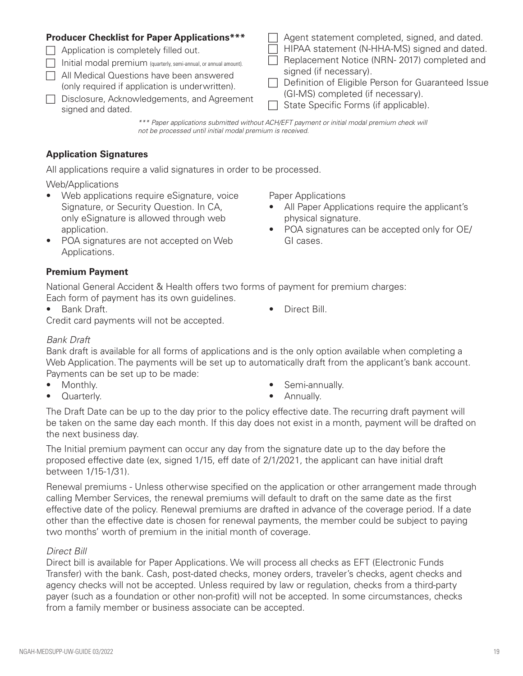# **Producer Checklist for Paper Applications\*\*\***

- $\Box$  Application is completely filled out.
- $\Box$  Initial modal premium (quarterly, semi-annual, or annual amount).
- $\Box$  All Medical Questions have been answered (only required if application is underwritten).
- **F** Disclosure, Acknowledgements, and Agreement signed and dated.
- Agent statement completed, signed, and dated.
- $\Box$  HIPAA statement (N-HHA-MS) signed and dated.
- $\Box$  Replacement Notice (NRN- 2017) completed and signed (if necessary).
- $\Box$  Definition of Eligible Person for Guaranteed Issue (GI-MS) completed (if necessary).
- $\Box$  State Specific Forms (if applicable).

*\*\*\* Paper applications submitted without ACH/EFT payment or initial modal premium check will not be processed until initial modal premium is received.*

# **Application Signatures**

All applications require a valid signatures in order to be processed.

Web/Applications

- Web applications require eSignature, voice Signature, or Security Question. In CA, only eSignature is allowed through web application.
- POA signatures are not accepted on Web Applications.

Paper Applications

- All Paper Applications require the applicant's physical signature.
- POA signatures can be accepted only for OE/ GI cases.

# **Premium Payment**

National General Accident & Health offers two forms of payment for premium charges: Each form of payment has its own guidelines.

• Bank Draft. • Direct Bill.

Credit card payments will not be accepted.

# *Bank Draft*

Bank draft is available for all forms of applications and is the only option available when completing a Web Application. The payments will be set up to automatically draft from the applicant's bank account. Payments can be set up to be made:

• Monthly.

Semi-annually.

• Quarterly.

• Annually.

The Draft Date can be up to the day prior to the policy effective date. The recurring draft payment will be taken on the same day each month. If this day does not exist in a month, payment will be drafted on the next business day.

The Initial premium payment can occur any day from the signature date up to the day before the proposed effective date (ex, signed 1/15, eff date of 2/1/2021, the applicant can have initial draft between 1/15-1/31).

Renewal premiums - Unless otherwise specified on the application or other arrangement made through calling Member Services, the renewal premiums will default to draft on the same date as the first effective date of the policy. Renewal premiums are drafted in advance of the coverage period. If a date other than the effective date is chosen for renewal payments, the member could be subject to paying two months' worth of premium in the initial month of coverage.

# *Direct Bill*

Direct bill is available for Paper Applications. We will process all checks as EFT (Electronic Funds Transfer) with the bank. Cash, post-dated checks, money orders, traveler's checks, agent checks and agency checks will not be accepted. Unless required by law or regulation, checks from a third-party payer (such as a foundation or other non-profit) will not be accepted. In some circumstances, checks from a family member or business associate can be accepted.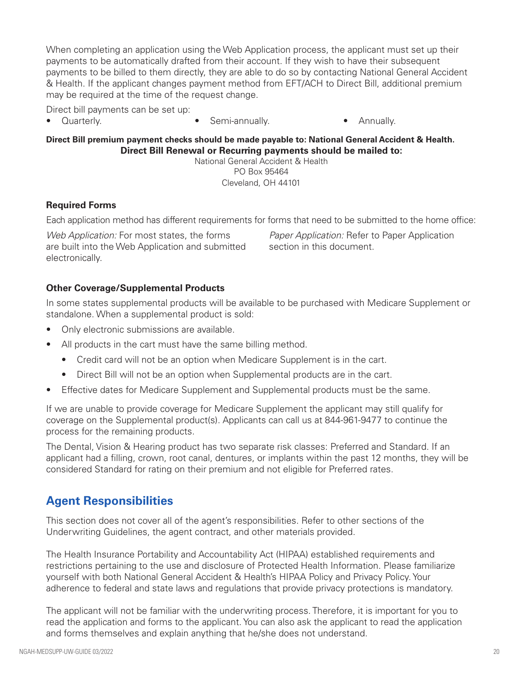When completing an application using the Web Application process, the applicant must set up their payments to be automatically drafted from their account. If they wish to have their subsequent payments to be billed to them directly, they are able to do so by contacting National General Accident & Health. If the applicant changes payment method from EFT/ACH to Direct Bill, additional premium may be required at the time of the request change.

Direct bill payments can be set up:

- 
- Quarterly. • Semi-annually. • Annually.

**Direct Bill premium payment checks should be made payable to: National General Accident & Health. Direct Bill Renewal or Recurring payments should be mailed to:**  National General Accident & Health

PO Box 95464 Cleveland, OH 44101

### **Required Forms**

Each application method has different requirements for forms that need to be submitted to the home office:

*Web Application:* For most states, the forms are built into the Web Application and submitted electronically.

*Paper Application:* Refer to Paper Application section in this document.

### **Other Coverage/Supplemental Products**

In some states supplemental products will be available to be purchased with Medicare Supplement or standalone. When a supplemental product is sold:

- Only electronic submissions are available.
- All products in the cart must have the same billing method.
	- Credit card will not be an option when Medicare Supplement is in the cart.
	- Direct Bill will not be an option when Supplemental products are in the cart.
- Effective dates for Medicare Supplement and Supplemental products must be the same.

If we are unable to provide coverage for Medicare Supplement the applicant may still qualify for coverage on the Supplemental product(s). Applicants can call us at 844-961-9477 to continue the process for the remaining products.

The Dental, Vision & Hearing product has two separate risk classes: Preferred and Standard. If an applicant had a filling, crown, root canal, dentures, or implants within the past 12 months, they will be considered Standard for rating on their premium and not eligible for Preferred rates.

# **Agent Responsibilities**

This section does not cover all of the agent's responsibilities. Refer to other sections of the Underwriting Guidelines, the agent contract, and other materials provided.

The Health Insurance Portability and Accountability Act (HIPAA) established requirements and restrictions pertaining to the use and disclosure of Protected Health Information. Please familiarize yourself with both National General Accident & Health's HIPAA Policy and Privacy Policy. Your adherence to federal and state laws and regulations that provide privacy protections is mandatory.

The applicant will not be familiar with the underwriting process. Therefore, it is important for you to read the application and forms to the applicant. You can also ask the applicant to read the application and forms themselves and explain anything that he/she does not understand.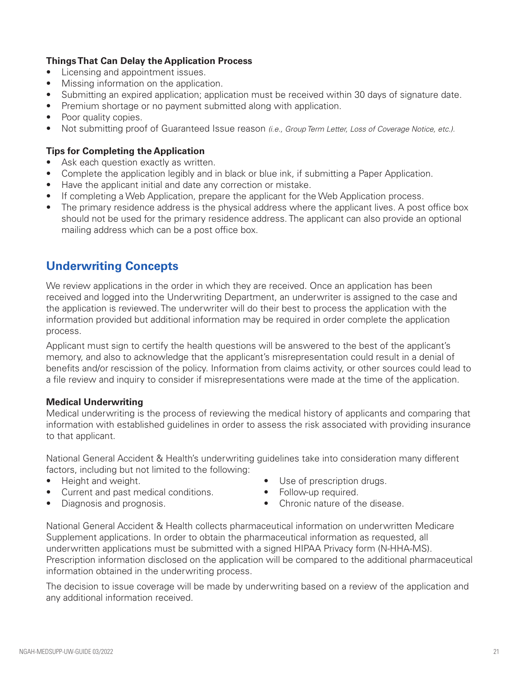### **Things That Can Delay the Application Process**

- Licensing and appointment issues.
- Missing information on the application.
- Submitting an expired application; application must be received within 30 days of signature date.
- Premium shortage or no payment submitted along with application.
- Poor quality copies.
- Not submitting proof of Guaranteed Issue reason *(i.e., Group Term Letter, Loss of Coverage Notice, etc.).*

#### **Tips for Completing the Application**

- Ask each question exactly as written.
- Complete the application legibly and in black or blue ink, if submitting a Paper Application.
- Have the applicant initial and date any correction or mistake.
- If completing a Web Application, prepare the applicant for the Web Application process.
- The primary residence address is the physical address where the applicant lives. A post office box should not be used for the primary residence address. The applicant can also provide an optional mailing address which can be a post office box.

# **Underwriting Concepts**

We review applications in the order in which they are received. Once an application has been received and logged into the Underwriting Department, an underwriter is assigned to the case and the application is reviewed. The underwriter will do their best to process the application with the information provided but additional information may be required in order complete the application process.

Applicant must sign to certify the health questions will be answered to the best of the applicant's memory, and also to acknowledge that the applicant's misrepresentation could result in a denial of benefits and/or rescission of the policy. Information from claims activity, or other sources could lead to a file review and inquiry to consider if misrepresentations were made at the time of the application.

#### **Medical Underwriting**

Medical underwriting is the process of reviewing the medical history of applicants and comparing that information with established guidelines in order to assess the risk associated with providing insurance to that applicant.

National General Accident & Health's underwriting guidelines take into consideration many different factors, including but not limited to the following:

- Height and weight.
- Current and past medical conditions.
- Use of prescription drugs.
- Follow-up required.

• Diagnosis and prognosis.

• Chronic nature of the disease.

National General Accident & Health collects pharmaceutical information on underwritten Medicare Supplement applications. In order to obtain the pharmaceutical information as requested, all underwritten applications must be submitted with a signed HIPAA Privacy form (N-HHA-MS). Prescription information disclosed on the application will be compared to the additional pharmaceutical information obtained in the underwriting process.

The decision to issue coverage will be made by underwriting based on a review of the application and any additional information received.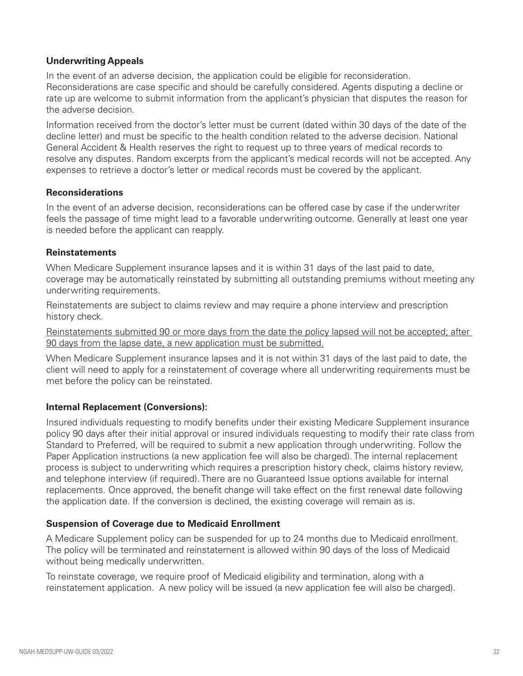### **Underwriting Appeals**

In the event of an adverse decision, the application could be eligible for reconsideration. Reconsiderations are case specific and should be carefully considered. Agents disputing a decline or rate up are welcome to submit information from the applicant's physician that disputes the reason for the adverse decision.

Information received from the doctor's letter must be current (dated within 30 days of the date of the decline letter) and must be specific to the health condition related to the adverse decision. National General Accident & Health reserves the right to request up to three years of medical records to resolve any disputes. Random excerpts from the applicant's medical records will not be accepted. Any expenses to retrieve a doctor's letter or medical records must be covered by the applicant.

### **Reconsiderations**

In the event of an adverse decision, reconsiderations can be offered case by case if the underwriter feels the passage of time might lead to a favorable underwriting outcome. Generally at least one year is needed before the applicant can reapply.

### **Reinstatements**

When Medicare Supplement insurance lapses and it is within 31 days of the last paid to date, coverage may be automatically reinstated by submitting all outstanding premiums without meeting any underwriting requirements.

Reinstatements are subject to claims review and may require a phone interview and prescription history check.

Reinstatements submitted 90 or more days from the date the policy lapsed will not be accepted; after 90 days from the lapse date, a new application must be submitted.

When Medicare Supplement insurance lapses and it is not within 31 days of the last paid to date, the client will need to apply for a reinstatement of coverage where all underwriting requirements must be met before the policy can be reinstated.

## **Internal Replacement (Conversions):**

Insured individuals requesting to modify benefits under their existing Medicare Supplement insurance policy 90 days after their initial approval or insured individuals requesting to modify their rate class from Standard to Preferred, will be required to submit a new application through underwriting. Follow the Paper Application instructions (a new application fee will also be charged). The internal replacement process is subject to underwriting which requires a prescription history check, claims history review, and telephone interview (if required). There are no Guaranteed Issue options available for internal replacements. Once approved, the benefit change will take effect on the first renewal date following the application date. If the conversion is declined, the existing coverage will remain as is.

## **Suspension of Coverage due to Medicaid Enrollment**

A Medicare Supplement policy can be suspended for up to 24 months due to Medicaid enrollment. The policy will be terminated and reinstatement is allowed within 90 days of the loss of Medicaid without being medically underwritten.

To reinstate coverage, we require proof of Medicaid eligibility and termination, along with a reinstatement application. A new policy will be issued (a new application fee will also be charged).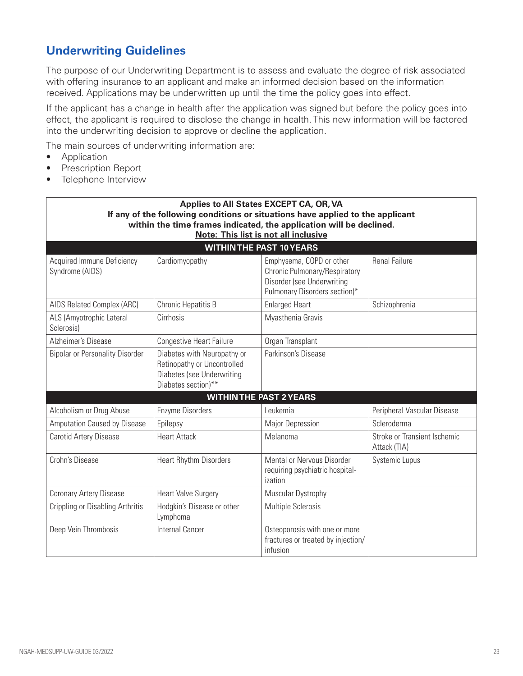# **Underwriting Guidelines**

The purpose of our Underwriting Department is to assess and evaluate the degree of risk associated with offering insurance to an applicant and make an informed decision based on the information received. Applications may be underwritten up until the time the policy goes into effect.

If the applicant has a change in health after the application was signed but before the policy goes into effect, the applicant is required to disclose the change in health. This new information will be factored into the underwriting decision to approve or decline the application.

The main sources of underwriting information are:

- Application
- Prescription Report
- Telephone Interview

| <b>Applies to All States EXCEPT CA, OR, VA</b><br>If any of the following conditions or situations have applied to the applicant |                                                                                                                 |                                                                                                                          |                                              |  |  |  |
|----------------------------------------------------------------------------------------------------------------------------------|-----------------------------------------------------------------------------------------------------------------|--------------------------------------------------------------------------------------------------------------------------|----------------------------------------------|--|--|--|
| within the time frames indicated, the application will be declined.<br>Note: This list is not all inclusive                      |                                                                                                                 |                                                                                                                          |                                              |  |  |  |
|                                                                                                                                  |                                                                                                                 | <b>WITHIN THE PAST 10 YEARS</b>                                                                                          |                                              |  |  |  |
| <b>Acquired Immune Deficiency</b><br>Syndrome (AIDS)                                                                             | Cardiomyopathy                                                                                                  | Emphysema, COPD or other<br>Chronic Pulmonary/Respiratory<br>Disorder (see Underwriting<br>Pulmonary Disorders section)* | <b>Renal Failure</b>                         |  |  |  |
| AIDS Related Complex (ARC)                                                                                                       | Chronic Hepatitis B                                                                                             | <b>Enlarged Heart</b>                                                                                                    | Schizophrenia                                |  |  |  |
| ALS (Amyotrophic Lateral<br>Sclerosis)                                                                                           | Cirrhosis                                                                                                       | Myasthenia Gravis                                                                                                        |                                              |  |  |  |
| Alzheimer's Disease                                                                                                              | <b>Congestive Heart Failure</b>                                                                                 | Organ Transplant                                                                                                         |                                              |  |  |  |
| <b>Bipolar or Personality Disorder</b>                                                                                           | Diabetes with Neuropathy or<br>Retinopathy or Uncontrolled<br>Diabetes (see Underwriting<br>Diabetes section)** | Parkinson's Disease                                                                                                      |                                              |  |  |  |
|                                                                                                                                  |                                                                                                                 | <b>WITHIN THE PAST 2 YEARS</b>                                                                                           |                                              |  |  |  |
| Alcoholism or Drug Abuse                                                                                                         | Enzyme Disorders                                                                                                | Leukemia                                                                                                                 | Peripheral Vascular Disease                  |  |  |  |
| Amputation Caused by Disease                                                                                                     | Epilepsy                                                                                                        | <b>Major Depression</b>                                                                                                  | Scleroderma                                  |  |  |  |
| Carotid Artery Disease                                                                                                           | <b>Heart Attack</b>                                                                                             | Melanoma                                                                                                                 | Stroke or Transient Ischemic<br>Attack (TIA) |  |  |  |
| Crohn's Disease                                                                                                                  | <b>Heart Rhythm Disorders</b>                                                                                   | Mental or Nervous Disorder<br>requiring psychiatric hospital-<br>ization                                                 | Systemic Lupus                               |  |  |  |
| Coronary Artery Disease                                                                                                          | <b>Heart Valve Surgery</b>                                                                                      | Muscular Dystrophy                                                                                                       |                                              |  |  |  |
| Crippling or Disabling Arthritis                                                                                                 | Hodgkin's Disease or other<br>Lymphoma                                                                          | <b>Multiple Sclerosis</b>                                                                                                |                                              |  |  |  |
| Deep Vein Thrombosis                                                                                                             | Internal Cancer                                                                                                 | Osteoporosis with one or more<br>fractures or treated by injection/<br>infusion                                          |                                              |  |  |  |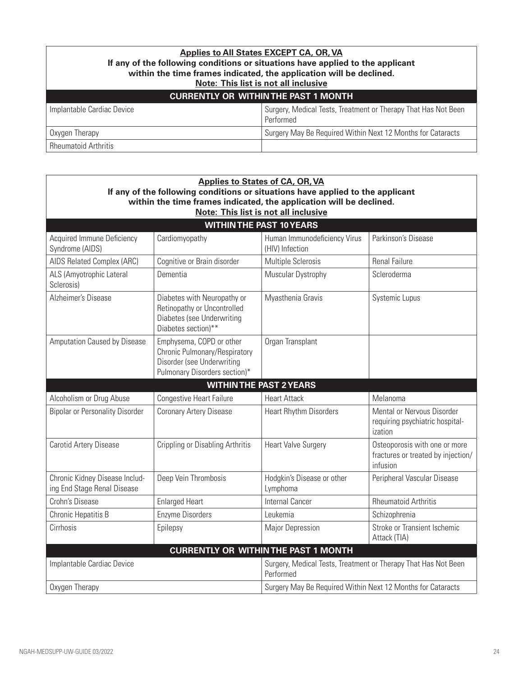## **Applies to All States EXCEPT CA, OR, VA If any of the following conditions or situations have applied to the applicant within the time frames indicated, the application will be declined. Note: This list is not all inclusive CURRENTLY OR WITHIN THE PAST 1 MONTH** Implantable Cardiac Device Surgery, Medical Tests, Treatment or Therapy That Has Not Been Performed Oxygen Therapy **Surgery May Be Required Within Next 12 Months for Cataracts** Rheumatoid Arthritis

| <b>Applies to States of CA, OR, VA</b><br>If any of the following conditions or situations have applied to the applicant |                                                                                                                          |                                                                             |                                                                                 |  |  |
|--------------------------------------------------------------------------------------------------------------------------|--------------------------------------------------------------------------------------------------------------------------|-----------------------------------------------------------------------------|---------------------------------------------------------------------------------|--|--|
| within the time frames indicated, the application will be declined.<br><b>Note: This list is not all inclusive</b>       |                                                                                                                          |                                                                             |                                                                                 |  |  |
|                                                                                                                          |                                                                                                                          | <b>WITHIN THE PAST 10 YEARS</b>                                             |                                                                                 |  |  |
| <b>Acquired Immune Deficiency</b><br>Syndrome (AIDS)                                                                     | Cardiomyopathy                                                                                                           | Human Immunodeficiency Virus<br>(HIV) Infection                             | Parkinson's Disease                                                             |  |  |
| AIDS Related Complex (ARC)                                                                                               | Cognitive or Brain disorder                                                                                              | <b>Multiple Sclerosis</b>                                                   | <b>Renal Failure</b>                                                            |  |  |
| ALS (Amyotrophic Lateral<br>Sclerosis)                                                                                   | Dementia                                                                                                                 | Muscular Dystrophy                                                          | Scleroderma                                                                     |  |  |
| Alzheimer's Disease                                                                                                      | Diabetes with Neuropathy or<br>Retinopathy or Uncontrolled<br>Diabetes (see Underwriting<br>Diabetes section)**          | Myasthenia Gravis                                                           | Systemic Lupus                                                                  |  |  |
| Amputation Caused by Disease                                                                                             | Emphysema, COPD or other<br>Chronic Pulmonary/Respiratory<br>Disorder (see Underwriting<br>Pulmonary Disorders section)* | Organ Transplant                                                            |                                                                                 |  |  |
|                                                                                                                          |                                                                                                                          | <b>WITHIN THE PAST 2 YEARS</b>                                              |                                                                                 |  |  |
| Alcoholism or Drug Abuse                                                                                                 | Congestive Heart Failure                                                                                                 | <b>Heart Attack</b>                                                         | Melanoma                                                                        |  |  |
| <b>Bipolar or Personality Disorder</b>                                                                                   | <b>Coronary Artery Disease</b>                                                                                           | <b>Heart Rhythm Disorders</b>                                               | Mental or Nervous Disorder<br>requiring psychiatric hospital-<br>ization        |  |  |
| Carotid Artery Disease                                                                                                   | <b>Crippling or Disabling Arthritis</b>                                                                                  | <b>Heart Valve Surgery</b>                                                  | Osteoporosis with one or more<br>fractures or treated by injection/<br>infusion |  |  |
| Chronic Kidney Disease Includ-<br>ing End Stage Renal Disease                                                            | Deep Vein Thrombosis                                                                                                     | Hodgkin's Disease or other<br>Lymphoma                                      | Peripheral Vascular Disease                                                     |  |  |
| Crohn's Disease                                                                                                          | <b>Enlarged Heart</b>                                                                                                    | <b>Internal Cancer</b>                                                      | <b>Rheumatoid Arthritis</b>                                                     |  |  |
| Chronic Hepatitis B                                                                                                      | <b>Enzyme Disorders</b>                                                                                                  | Leukemia                                                                    | Schizophrenia                                                                   |  |  |
| Cirrhosis                                                                                                                | Epilepsy                                                                                                                 | <b>Major Depression</b>                                                     | Stroke or Transient Ischemic<br>Attack (TIA)                                    |  |  |
|                                                                                                                          |                                                                                                                          | <b>CURRENTLY OR WITHIN THE PAST 1 MONTH</b>                                 |                                                                                 |  |  |
| Implantable Cardiac Device                                                                                               |                                                                                                                          | Surgery, Medical Tests, Treatment or Therapy That Has Not Been<br>Performed |                                                                                 |  |  |
| Oxygen Therapy                                                                                                           |                                                                                                                          | Surgery May Be Required Within Next 12 Months for Cataracts                 |                                                                                 |  |  |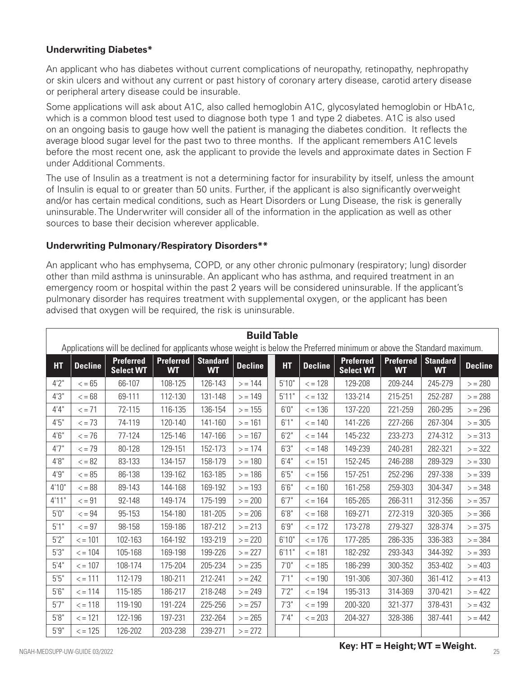### **Underwriting Diabetes\***

An applicant who has diabetes without current complications of neuropathy, retinopathy, nephropathy or skin ulcers and without any current or past history of coronary artery disease, carotid artery disease or peripheral artery disease could be insurable.

Some applications will ask about A1C, also called hemoglobin A1C, glycosylated hemoglobin or HbA1c, which is a common blood test used to diagnose both type 1 and type 2 diabetes. A1C is also used on an ongoing basis to gauge how well the patient is managing the diabetes condition. It reflects the average blood sugar level for the past two to three months. If the applicant remembers A1C levels before the most recent one, ask the applicant to provide the levels and approximate dates in Section F under Additional Comments.

The use of Insulin as a treatment is not a determining factor for insurability by itself, unless the amount of Insulin is equal to or greater than 50 units. Further, if the applicant is also significantly overweight and/or has certain medical conditions, such as Heart Disorders or Lung Disease, the risk is generally uninsurable. The Underwriter will consider all of the information in the application as well as other sources to base their decision wherever applicable.

#### **Underwriting Pulmonary/Respiratory Disorders\*\***

An applicant who has emphysema, COPD, or any other chronic pulmonary (respiratory; lung) disorder other than mild asthma is uninsurable. An applicant who has asthma, and required treatment in an emergency room or hospital within the past 2 years will be considered uninsurable. If the applicant's pulmonary disorder has requires treatment with supplemental oxygen, or the applicant has been advised that oxygen will be required, the risk is uninsurable.

|           | <b>Build Table</b>                                                                                                      |                                      |                               |                              |                |  |           |                  |                                      |                        |                              |                |
|-----------|-------------------------------------------------------------------------------------------------------------------------|--------------------------------------|-------------------------------|------------------------------|----------------|--|-----------|------------------|--------------------------------------|------------------------|------------------------------|----------------|
|           | Applications will be declined for applicants whose weight is below the Preferred minimum or above the Standard maximum. |                                      |                               |                              |                |  |           |                  |                                      |                        |                              |                |
| <b>HT</b> | <b>Decline</b>                                                                                                          | <b>Preferred</b><br><b>Select WT</b> | <b>Preferred</b><br><b>WT</b> | <b>Standard</b><br><b>WT</b> | <b>Decline</b> |  | <b>HT</b> | <b>Decline</b>   | <b>Preferred</b><br><b>Select WT</b> | Preferred<br><b>WT</b> | <b>Standard</b><br><b>WT</b> | <b>Decline</b> |
| 4'2''     | $\leq$ = 65                                                                                                             | 66-107                               | 108-125                       | 126-143                      | > 144          |  | 5'10"     | $\leq$ = 128     | 129-208                              | 209-244                | 245-279                      | $> = 280$      |
| 4'3''     | $\leq$ = 68                                                                                                             | 69-111                               | 112-130                       | 131-148                      | > 149          |  | 5'11"     | $\epsilon$ = 132 | 133-214                              | 215-251                | 252-287                      | $> = 288$      |
| 4'4''     | $\leq$ = 71                                                                                                             | 72-115                               | 116-135                       | 136-154                      | > 155          |  | 6'0''     | $\epsilon$ = 136 | 137-220                              | 221-259                | 260-295                      | $> = 296$      |
| 4'5''     | $\epsilon$ = 73                                                                                                         | 74-119                               | 120-140                       | 141-160                      | > 161          |  | 6'1''     | $\epsilon$ = 140 | 141-226                              | 227-266                | 267-304                      | > 305          |
| 4'6''     | $\epsilon$ = 76                                                                                                         | 77-124                               | 125-146                       | 147-166                      | > 167          |  | 6'2''     | $\epsilon$ = 144 | 145-232                              | 233-273                | 274-312                      | $> = 313$      |
| 4'7''     | $\epsilon$ = 79                                                                                                         | 80-128                               | 129-151                       | 152-173                      | $> = 174$      |  | 6'3''     | $\epsilon$ = 148 | 149-239                              | 240-281                | 282-321                      | > 322          |
| 4'8''     | $\leq$ = 82                                                                                                             | 83-133                               | 134-157                       | 158-179                      | > 180          |  | 6'4''     | $\epsilon$ = 151 | 152-245                              | 246-288                | 289-329                      | > 330          |
| 4'9''     | $\epsilon = 85$                                                                                                         | 86-138                               | 139-162                       | 163-185                      | > 186          |  | 6'5''     | $\epsilon$ = 156 | 157-251                              | 252-296                | 297-338                      | > 339          |
| 4'10''    | $\epsilon$ = 88                                                                                                         | 89-143                               | 144-168                       | 169-192                      | > 193          |  | 6'6''     | $\epsilon$ = 160 | 161-258                              | 259-303                | 304-347                      | $> = 348$      |
| 4'11"     | $\epsilon = 91$                                                                                                         | 92-148                               | 149-174                       | 175-199                      | $> = 200$      |  | 6'7''     | $\epsilon$ = 164 | 165-265                              | 266-311                | 312-356                      | $>$ = 357      |
| 5'0''     | $\leq$ = 94                                                                                                             | 95-153                               | 154-180                       | 181-205                      | > 206          |  | 6'8''     | $\epsilon$ = 168 | 169-271                              | 272-319                | 320-365                      | > 366          |
| 5'1''     | $\epsilon = 97$                                                                                                         | 98-158                               | 159-186                       | 187-212                      | $> = 213$      |  | 6'9''     | $\epsilon$ = 172 | 173-278                              | 279-327                | 328-374                      | $> = 375$      |
| 5'2"      | $\epsilon$ = 101                                                                                                        | 102-163                              | 164-192                       | 193-219                      | $> = 220$      |  | 6'10"     | $\epsilon$ = 176 | 177-285                              | 286-335                | 336-383                      | > 384          |
| 5'3''     | $\epsilon = 104$                                                                                                        | 105-168                              | 169-198                       | 199-226                      | > 227          |  | 6'11"     | $\epsilon$ = 181 | 182-292                              | 293-343                | 344-392                      | > 393          |
| 5'4''     | $\epsilon$ = 107                                                                                                        | 108-174                              | 175-204                       | 205-234                      | $> = 235$      |  | 7'0''     | $\epsilon$ = 185 | 186-299                              | 300-352                | 353-402                      | > 403          |
| 5'5''     | $\epsilon$ = 111                                                                                                        | 112-179                              | 180-211                       | 212-241                      | $> = 242$      |  | 7'1''     | $\epsilon$ = 190 | 191-306                              | 307-360                | 361-412                      | > 413          |
| 5'6''     | $\le$ = 114                                                                                                             | 115-185                              | 186-217                       | 218-248                      | $> = 249$      |  | 7'2''     | $\epsilon$ = 194 | 195-313                              | 314-369                | 370-421                      | > 422          |
| 5'7''     | $\le$ = 118                                                                                                             | 119-190                              | 191-224                       | 225-256                      | > 257          |  | 7'3''     | $\epsilon$ = 199 | 200-320                              | 321-377                | 378-431                      | > 432          |
| 5'8''     | $\epsilon$ = 121                                                                                                        | 122-196                              | 197-231                       | 232-264                      | > 265          |  | 7'4''     | $\epsilon$ = 203 | 204-327                              | 328-386                | 387-441                      | > 442          |
| 5'9"      | $\epsilon$ = 125                                                                                                        | 126-202                              | 203-238                       | 239-271                      | $> = 272$      |  |           |                  |                                      |                        |                              |                |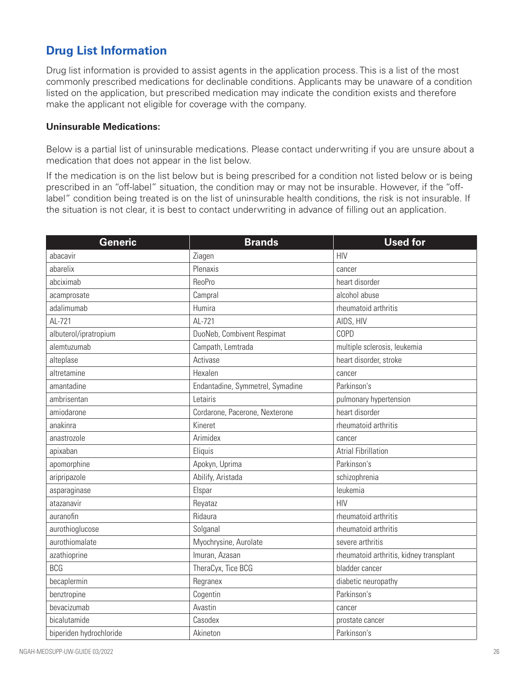# **Drug List Information**

Drug list information is provided to assist agents in the application process. This is a list of the most commonly prescribed medications for declinable conditions. Applicants may be unaware of a condition listed on the application, but prescribed medication may indicate the condition exists and therefore make the applicant not eligible for coverage with the company.

#### **Uninsurable Medications:**

Below is a partial list of uninsurable medications. Please contact underwriting if you are unsure about a medication that does not appear in the list below.

If the medication is on the list below but is being prescribed for a condition not listed below or is being prescribed in an "off-label" situation, the condition may or may not be insurable. However, if the "offlabel" condition being treated is on the list of uninsurable health conditions, the risk is not insurable. If the situation is not clear, it is best to contact underwriting in advance of filling out an application.

| <b>Generic</b>          | <b>Brands</b>                    | <b>Used for</b>                         |
|-------------------------|----------------------------------|-----------------------------------------|
| abacavir                | Ziagen                           | <b>HIV</b>                              |
| abarelix                | Plenaxis                         | cancer                                  |
| abciximab               | <b>ReoPro</b>                    | heart disorder                          |
| acamprosate             | Campral                          | alcohol abuse                           |
| adalimumab              | Humira                           | rheumatoid arthritis                    |
| AL-721                  | AL-721                           | AIDS, HIV                               |
| albuterol/ipratropium   | DuoNeb, Combivent Respimat       | COPD                                    |
| alemtuzumab             | Campath, Lemtrada                | multiple sclerosis, leukemia            |
| alteplase               | Activase                         | heart disorder, stroke                  |
| altretamine             | Hexalen                          | cancer                                  |
| amantadine              | Endantadine, Symmetrel, Symadine | Parkinson's                             |
| ambrisentan             | Letairis                         | pulmonary hypertension                  |
| amiodarone              | Cordarone, Pacerone, Nexterone   | heart disorder                          |
| anakinra                | Kineret                          | rheumatoid arthritis                    |
| anastrozole             | Arimidex                         | cancer                                  |
| apixaban                | Eliquis                          | <b>Atrial Fibrillation</b>              |
| apomorphine             | Apokyn, Uprima                   | Parkinson's                             |
| aripripazole            | Abilify, Aristada                | schizophrenia                           |
| asparaginase            | Elspar                           | leukemia                                |
| atazanavir              | Reyataz                          | <b>HIV</b>                              |
| auranofin               | Ridaura                          | rheumatoid arthritis                    |
| aurothioglucose         | Solganal                         | rheumatoid arthritis                    |
| aurothiomalate          | Myochrysine, Aurolate            | severe arthritis                        |
| azathioprine            | Imuran, Azasan                   | rheumatoid arthritis, kidney transplant |
| <b>BCG</b>              | TheraCyx, Tice BCG               | bladder cancer                          |
| becaplermin             | Regranex                         | diabetic neuropathy                     |
| benztropine             | Cogentin                         | Parkinson's                             |
| bevacizumab             | Avastin                          | cancer                                  |
| bicalutamide            | Casodex                          | prostate cancer                         |
| biperiden hydrochloride | Akineton                         | Parkinson's                             |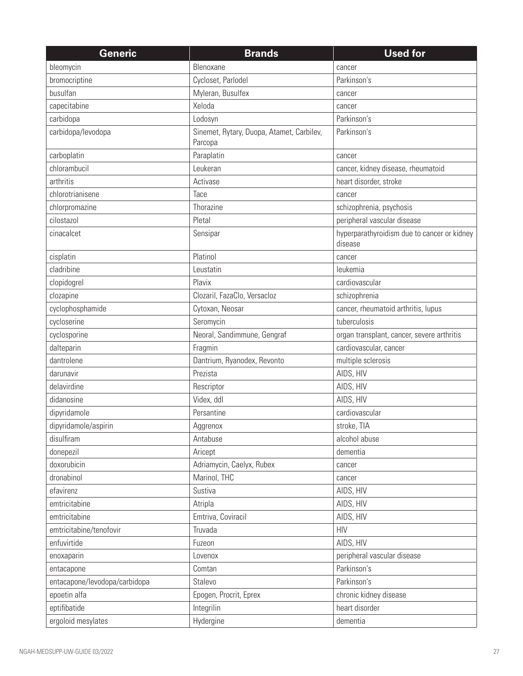| <b>Generic</b>                | <b>Brands</b>                                        | <b>Used for</b>                                        |
|-------------------------------|------------------------------------------------------|--------------------------------------------------------|
| bleomycin                     | Blenoxane                                            | cancer                                                 |
| bromocriptine                 | Cycloset, Parlodel                                   | Parkinson's                                            |
| busulfan                      | Myleran, Busulfex                                    | cancer                                                 |
| capecitabine                  | Xeloda                                               | cancer                                                 |
| carbidopa                     | Lodosyn                                              | Parkinson's                                            |
| carbidopa/levodopa            | Sinemet, Rytary, Duopa, Atamet, Carbilev,<br>Parcopa | Parkinson's                                            |
| carboplatin                   | Paraplatin                                           | cancer                                                 |
| chlorambucil                  | Leukeran                                             | cancer, kidney disease, rheumatoid                     |
| arthritis                     | Activase                                             | heart disorder, stroke                                 |
| chlorotrianisene              | Tace                                                 | cancer                                                 |
| chlorpromazine                | Thorazine                                            | schizophrenia, psychosis                               |
| cilostazol                    | Pletal                                               | peripheral vascular disease                            |
| cinacalcet                    | Sensipar                                             | hyperparathyroidism due to cancer or kidney<br>disease |
| cisplatin                     | Platinol                                             | cancer                                                 |
| cladribine                    | Leustatin                                            | leukemia                                               |
| clopidogrel                   | Plavix                                               | cardiovascular                                         |
| clozapine                     | Clozaril, FazaClo, Versacloz                         | schizophrenia                                          |
| cyclophosphamide              | Cytoxan, Neosar                                      | cancer, rheumatoid arthritis, lupus                    |
| cycloserine                   | Seromycin                                            | tuberculosis                                           |
| cyclosporine                  | Neoral, Sandimmune, Gengraf                          | organ transplant, cancer, severe arthritis             |
| dalteparin                    | Fragmin                                              | cardiovascular, cancer                                 |
| dantrolene                    | Dantrium, Ryanodex, Revonto                          | multiple sclerosis                                     |
| darunavir                     | Prezista                                             | AIDS, HIV                                              |
| delavirdine                   | Rescriptor                                           | AIDS, HIV                                              |
| didanosine                    | Videx, ddl                                           | AIDS, HIV                                              |
| dipyridamole                  | Persantine                                           | cardiovascular                                         |
| dipyridamole/aspirin          | Aggrenox                                             | stroke, TIA                                            |
| disulfiram                    | Antabuse                                             | alcohol abuse                                          |
| donepezil                     | Aricept                                              | dementia                                               |
| doxorubicin                   | Adriamycin, Caelyx, Rubex                            | cancer                                                 |
| dronabinol                    | Marinol, THC                                         | cancer                                                 |
| efavirenz                     | Sustiva                                              | AIDS, HIV                                              |
| emtricitabine                 | Atripla                                              | AIDS, HIV                                              |
| emtricitabine                 | Emtriva, Coviracil                                   | AIDS, HIV                                              |
| emtricitabine/tenofovir       | Truvada                                              | <b>HIV</b>                                             |
| enfuvirtide                   | Fuzeon                                               | AIDS, HIV                                              |
| enoxaparin                    | Lovenox                                              | peripheral vascular disease                            |
| entacapone                    | Comtan                                               | Parkinson's                                            |
| entacapone/levodopa/carbidopa | Stalevo                                              | Parkinson's                                            |
| epoetin alfa                  | Epogen, Procrit, Eprex                               | chronic kidney disease                                 |
| eptifibatide                  | Integrilin                                           | heart disorder                                         |
| ergoloid mesylates            | Hydergine                                            | dementia                                               |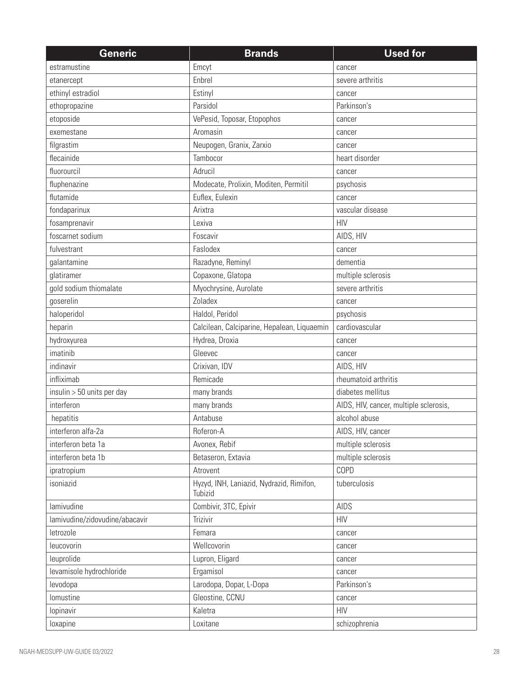| <b>Generic</b>                 | <b>Brands</b>                                       | <b>Used for</b>                        |
|--------------------------------|-----------------------------------------------------|----------------------------------------|
| estramustine                   | Emcyt                                               | cancer                                 |
| etanercept                     | Enbrel                                              | severe arthritis                       |
| ethinyl estradiol              | Estinyl                                             | cancer                                 |
| ethopropazine                  | Parsidol                                            | Parkinson's                            |
| etoposide                      | VePesid, Toposar, Etopophos                         | cancer                                 |
| exemestane                     | Aromasin                                            | cancer                                 |
| filgrastim                     | Neupogen, Granix, Zarxio                            | cancer                                 |
| flecainide                     | Tambocor                                            | heart disorder                         |
| fluorourcil                    | Adrucil                                             | cancer                                 |
| fluphenazine                   | Modecate, Prolixin, Moditen, Permitil               | psychosis                              |
| flutamide                      | Euflex, Eulexin                                     | cancer                                 |
| fondaparinux                   | Arixtra                                             | vascular disease                       |
| fosamprenavir                  | Lexiva                                              | <b>HIV</b>                             |
| foscarnet sodium               | Foscavir                                            | AIDS, HIV                              |
| fulvestrant                    | Faslodex                                            | cancer                                 |
| galantamine                    | Razadyne, Reminyl                                   | dementia                               |
| glatiramer                     | Copaxone, Glatopa                                   | multiple sclerosis                     |
| gold sodium thiomalate         | Myochrysine, Aurolate                               | severe arthritis                       |
| goserelin                      | Zoladex                                             | cancer                                 |
| haloperidol                    | Haldol, Peridol                                     | psychosis                              |
| heparin                        | Calcilean, Calciparine, Hepalean, Liquaemin         | cardiovascular                         |
| hydroxyurea                    | Hydrea, Droxia                                      | cancer                                 |
| imatinib                       | Gleevec                                             | cancer                                 |
| indinavir                      | Crixivan, IDV                                       | AIDS, HIV                              |
| infliximab                     | Remicade                                            | rheumatoid arthritis                   |
| $insulin > 50$ units per day   | many brands                                         | diabetes mellitus                      |
| interferon                     | many brands                                         | AIDS, HIV, cancer, multiple sclerosis, |
| hepatitis                      | Antabuse                                            | alcohol abuse                          |
| interferon alfa-2a             | Roferon-A                                           | AIDS, HIV, cancer                      |
| interferon beta 1a             | Avonex, Rebif                                       | multiple sclerosis                     |
| interferon beta 1b             | Betaseron, Extavia                                  | multiple sclerosis                     |
| ipratropium                    | Atrovent                                            | COPD                                   |
| isoniazid                      | Hyzyd, INH, Laniazid, Nydrazid, Rimifon,<br>Tubizid | tuberculosis                           |
| lamivudine                     | Combivir, 3TC, Epivir                               | AIDS                                   |
| lamivudine/zidovudine/abacavir | Trizivir                                            | <b>HIV</b>                             |
| letrozole                      | Femara                                              | cancer                                 |
| leucovorin                     | Wellcovorin                                         | cancer                                 |
| leuprolide                     | Lupron, Eligard                                     | cancer                                 |
| levamisole hydrochloride       | Ergamisol                                           | cancer                                 |
| levodopa                       | Larodopa, Dopar, L-Dopa                             | Parkinson's                            |
| lomustine                      | Gleostine, CCNU                                     | cancer                                 |
| lopinavir                      | Kaletra                                             | <b>HIV</b>                             |
| loxapine                       | Loxitane                                            | schizophrenia                          |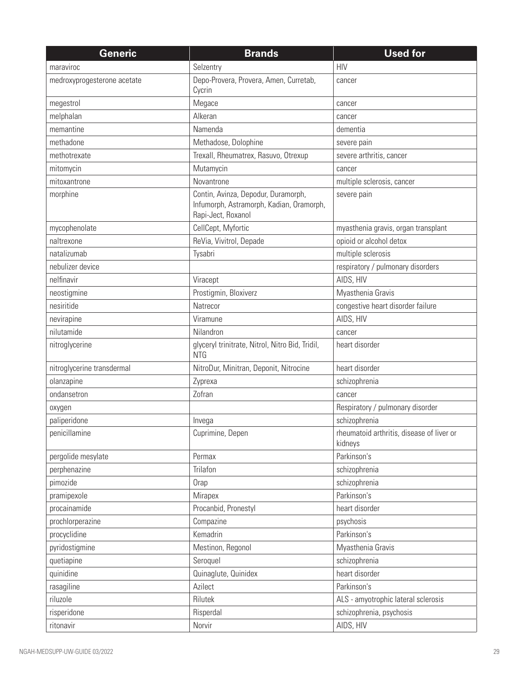| <b>Generic</b>              | <b>Brands</b>                                                                                         | <b>Used for</b>                                      |
|-----------------------------|-------------------------------------------------------------------------------------------------------|------------------------------------------------------|
| maraviroc                   | Selzentry                                                                                             | <b>HIV</b>                                           |
| medroxyprogesterone acetate | Depo-Provera, Provera, Amen, Curretab,<br>Cycrin                                                      | cancer                                               |
| megestrol                   | Megace                                                                                                | cancer                                               |
| melphalan                   | Alkeran                                                                                               | cancer                                               |
| memantine                   | Namenda                                                                                               | dementia                                             |
| methadone                   | Methadose, Dolophine                                                                                  | severe pain                                          |
| methotrexate                | Trexall, Rheumatrex, Rasuvo, Otrexup                                                                  | severe arthritis, cancer                             |
| mitomycin                   | Mutamycin                                                                                             | cancer                                               |
| mitoxantrone                | Novantrone                                                                                            | multiple sclerosis, cancer                           |
| morphine                    | Contin, Avinza, Depodur, Duramorph,<br>Infumorph, Astramorph, Kadian, Oramorph,<br>Rapi-Ject, Roxanol | severe pain                                          |
| mycophenolate               | CellCept, Myfortic                                                                                    | myasthenia gravis, organ transplant                  |
| naltrexone                  | ReVia, Vivitrol, Depade                                                                               | opioid or alcohol detox                              |
| natalizumab                 | Tysabri                                                                                               | multiple sclerosis                                   |
| nebulizer device            |                                                                                                       | respiratory / pulmonary disorders                    |
| nelfinavir                  | Viracept                                                                                              | AIDS, HIV                                            |
| neostigmine                 | Prostigmin, Bloxiverz                                                                                 | Myasthenia Gravis                                    |
| nesiritide                  | Natrecor                                                                                              | congestive heart disorder failure                    |
| nevirapine                  | Viramune                                                                                              | AIDS, HIV                                            |
| nilutamide                  | Nilandron                                                                                             | cancer                                               |
| nitroglycerine              | glyceryl trinitrate, Nitrol, Nitro Bid, Tridil,<br><b>NTG</b>                                         | heart disorder                                       |
| nitroglycerine transdermal  | NitroDur, Minitran, Deponit, Nitrocine                                                                | heart disorder                                       |
| olanzapine                  | Zyprexa                                                                                               | schizophrenia                                        |
| ondansetron                 | Zofran                                                                                                | cancer                                               |
| oxygen                      |                                                                                                       | Respiratory / pulmonary disorder                     |
| paliperidone                | Invega                                                                                                | schizophrenia                                        |
| penicillamine               | Cuprimine, Depen                                                                                      | rheumatoid arthritis, disease of liver or<br>kidneys |
| pergolide mesylate          | Permax                                                                                                | Parkinson's                                          |
| perphenazine                | Trilafon                                                                                              | schizophrenia                                        |
| pimozide                    | Orap                                                                                                  | schizophrenia                                        |
| pramipexole                 | Mirapex                                                                                               | Parkinson's                                          |
| procainamide                | Procanbid, Pronestyl                                                                                  | heart disorder                                       |
| prochlorperazine            | Compazine                                                                                             | psychosis                                            |
| procyclidine                | Kemadrin                                                                                              | Parkinson's                                          |
| pyridostigmine              | Mestinon, Regonol                                                                                     | Myasthenia Gravis                                    |
| quetiapine                  | Seroquel                                                                                              | schizophrenia                                        |
| quinidine                   | Quinaglute, Quinidex                                                                                  | heart disorder                                       |
| rasagiline                  | Azilect                                                                                               | Parkinson's                                          |
| riluzole                    | Rilutek                                                                                               | ALS - amyotrophic lateral sclerosis                  |
| risperidone                 | Risperdal                                                                                             | schizophrenia, psychosis                             |
| ritonavir                   | Norvir                                                                                                | AIDS, HIV                                            |